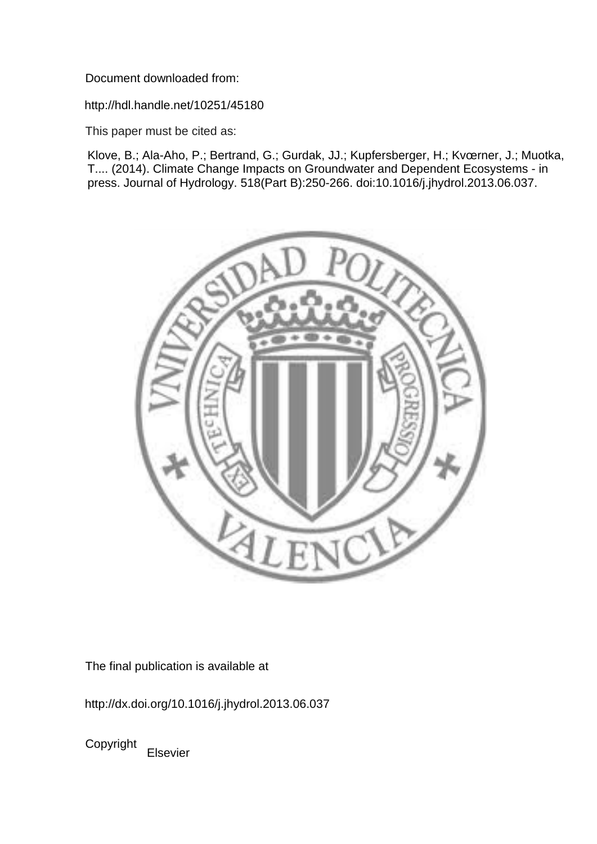Document downloaded from:

http://hdl.handle.net/10251/45180

This paper must be cited as:

Klove, B.; Ala-Aho, P.; Bertrand, G.; Gurdak, JJ.; Kupfersberger, H.; Kvœrner, J.; Muotka, T.... (2014). Climate Change Impacts on Groundwater and Dependent Ecosystems - in press. Journal of Hydrology. 518(Part B):250-266. doi:10.1016/j.jhydrol.2013.06.037.



The final publication is available at

http://dx.doi.org/10.1016/j.jhydrol.2013.06.037

Copyright Elsevier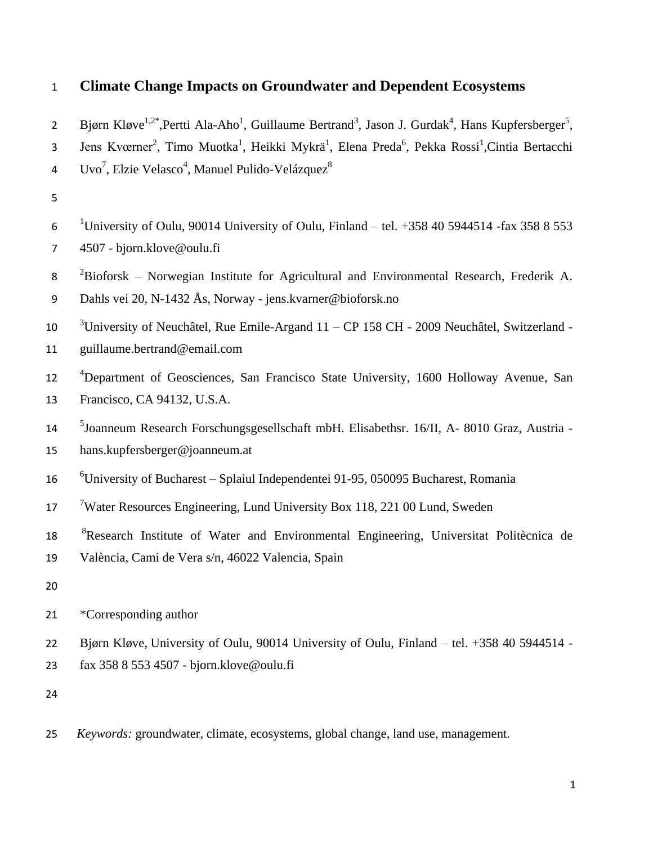# 1 **Climate Change Impacts on Groundwater and Dependent Ecosystems**

| $\overline{2}$ | Bjørn Kløve <sup>1,2*</sup> , Pertti Ala-Aho <sup>1</sup> , Guillaume Bertrand <sup>3</sup> , Jason J. Gurdak <sup>4</sup> , Hans Kupfersberger <sup>5</sup> , |
|----------------|----------------------------------------------------------------------------------------------------------------------------------------------------------------|
| 3              | Jens Kværner <sup>2</sup> , Timo Muotka <sup>1</sup> , Heikki Mykrä <sup>1</sup> , Elena Preda <sup>6</sup> , Pekka Rossi <sup>1</sup> , Cintia Bertacchi      |
| 4              | Uvo <sup>7</sup> , Elzie Velasco <sup>4</sup> , Manuel Pulido-Velázquez <sup>8</sup>                                                                           |
| 5              |                                                                                                                                                                |
| 6              | <sup>1</sup> University of Oulu, 90014 University of Oulu, Finland – tel. $+358405944514$ -fax 358 8 553                                                       |
| 7              | 4507 - bjorn.klove@oulu.fi                                                                                                                                     |
| 8              | ${}^{2}$ Bioforsk – Norwegian Institute for Agricultural and Environmental Research, Frederik A.                                                               |
| 9              | Dahls vei 20, N-1432 Ås, Norway - jens.kvarner@bioforsk.no                                                                                                     |
| 10             | $3$ University of Neuchâtel, Rue Emile-Argand 11 – CP 158 CH - 2009 Neuchâtel, Switzerland -                                                                   |
| 11             | guillaume.bertrand@email.com                                                                                                                                   |
| 12             | <sup>4</sup> Department of Geosciences, San Francisco State University, 1600 Holloway Avenue, San                                                              |
| 13             | Francisco, CA 94132, U.S.A.                                                                                                                                    |
| 14             | <sup>5</sup> Joanneum Research Forschungsgesellschaft mbH. Elisabethsr. 16/II, A- 8010 Graz, Austria -                                                         |
| 15             | hans.kupfersberger@joanneum.at                                                                                                                                 |
| 16             | <sup>6</sup> University of Bucharest – Splaiul Independentei 91-95, 050095 Bucharest, Romania                                                                  |
| 17             | <sup>7</sup> Water Resources Engineering, Lund University Box 118, 221 00 Lund, Sweden                                                                         |
| 18             | <sup>8</sup> Research Institute of Water and Environmental Engineering, Universitat Politècnica de                                                             |
| 19             | València, Cami de Vera s/n, 46022 Valencia, Spain                                                                                                              |
| 20             |                                                                                                                                                                |
| 21             | *Corresponding author                                                                                                                                          |
| 22             | Bjørn Kløve, University of Oulu, 90014 University of Oulu, Finland - tel. +358 40 5944514 -                                                                    |
| 23             | fax 358 8 553 4507 - bjorn.klove@oulu.fi                                                                                                                       |
| 24             |                                                                                                                                                                |
|                |                                                                                                                                                                |

25 *Keywords:* groundwater, climate, ecosystems, global change, land use, management.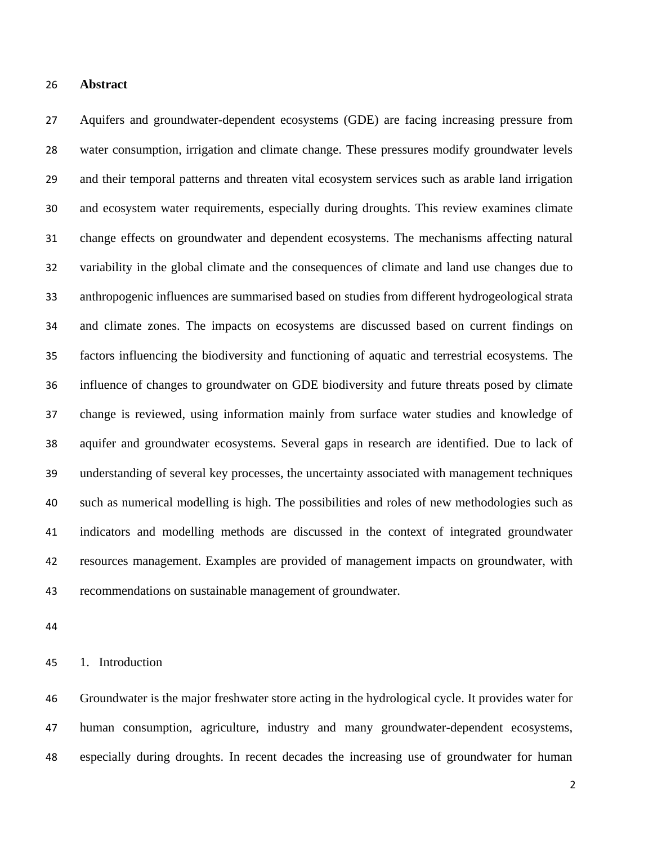## **Abstract**

 Aquifers and groundwater-dependent ecosystems (GDE) are facing increasing pressure from water consumption, irrigation and climate change. These pressures modify groundwater levels and their temporal patterns and threaten vital ecosystem services such as arable land irrigation and ecosystem water requirements, especially during droughts. This review examines climate change effects on groundwater and dependent ecosystems. The mechanisms affecting natural variability in the global climate and the consequences of climate and land use changes due to anthropogenic influences are summarised based on studies from different hydrogeological strata and climate zones. The impacts on ecosystems are discussed based on current findings on factors influencing the biodiversity and functioning of aquatic and terrestrial ecosystems. The influence of changes to groundwater on GDE biodiversity and future threats posed by climate change is reviewed, using information mainly from surface water studies and knowledge of aquifer and groundwater ecosystems. Several gaps in research are identified. Due to lack of understanding of several key processes, the uncertainty associated with management techniques such as numerical modelling is high. The possibilities and roles of new methodologies such as indicators and modelling methods are discussed in the context of integrated groundwater resources management. Examples are provided of management impacts on groundwater, with recommendations on sustainable management of groundwater.

1. Introduction

 Groundwater is the major freshwater store acting in the hydrological cycle. It provides water for human consumption, agriculture, industry and many groundwater-dependent ecosystems, especially during droughts. In recent decades the increasing use of groundwater for human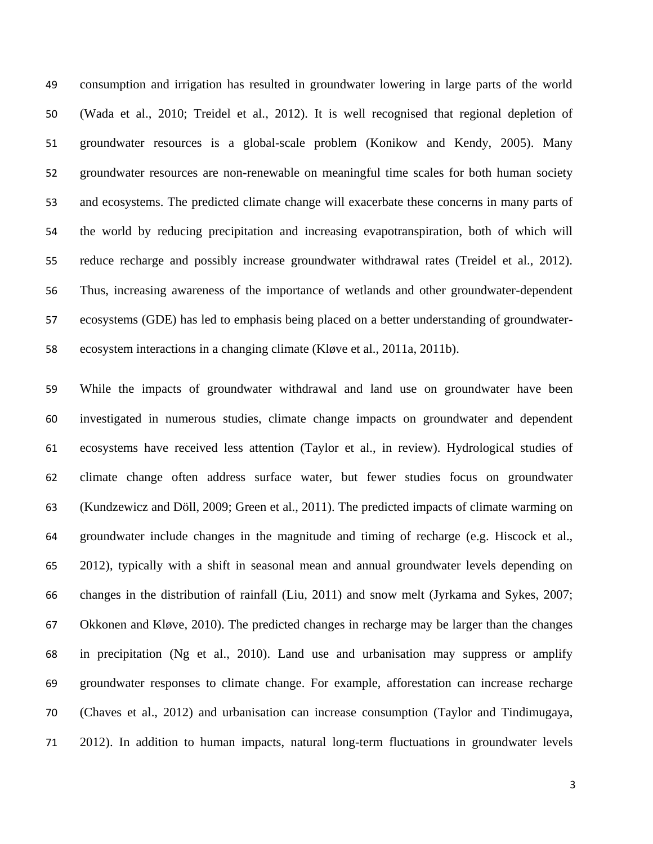consumption and irrigation has resulted in groundwater lowering in large parts of the world (Wada et al., 2010; Treidel et al., 2012). It is well recognised that regional depletion of groundwater resources is a global-scale problem (Konikow and Kendy, 2005). Many groundwater resources are non-renewable on meaningful time scales for both human society and ecosystems. The predicted climate change will exacerbate these concerns in many parts of the world by reducing precipitation and increasing evapotranspiration, both of which will reduce recharge and possibly increase groundwater withdrawal rates (Treidel et al., 2012). Thus, increasing awareness of the importance of wetlands and other groundwater-dependent ecosystems (GDE) has led to emphasis being placed on a better understanding of groundwater-ecosystem interactions in a changing climate (Kløve et al., 2011a, 2011b).

 While the impacts of groundwater withdrawal and land use on groundwater have been investigated in numerous studies, climate change impacts on groundwater and dependent ecosystems have received less attention (Taylor et al., in review). Hydrological studies of climate change often address surface water, but fewer studies focus on groundwater (Kundzewicz and Döll, 2009; Green et al., 2011). The predicted impacts of climate warming on groundwater include changes in the magnitude and timing of recharge (e.g. Hiscock et al., 2012), typically with a shift in seasonal mean and annual groundwater levels depending on changes in the distribution of rainfall (Liu, 2011) and snow melt (Jyrkama and Sykes, 2007; Okkonen and Kløve, 2010). The predicted changes in recharge may be larger than the changes in precipitation (Ng et al., 2010). Land use and urbanisation may suppress or amplify groundwater responses to climate change. For example, afforestation can increase recharge (Chaves et al., 2012) and urbanisation can increase consumption (Taylor and Tindimugaya, 2012). In addition to human impacts, natural long-term fluctuations in groundwater levels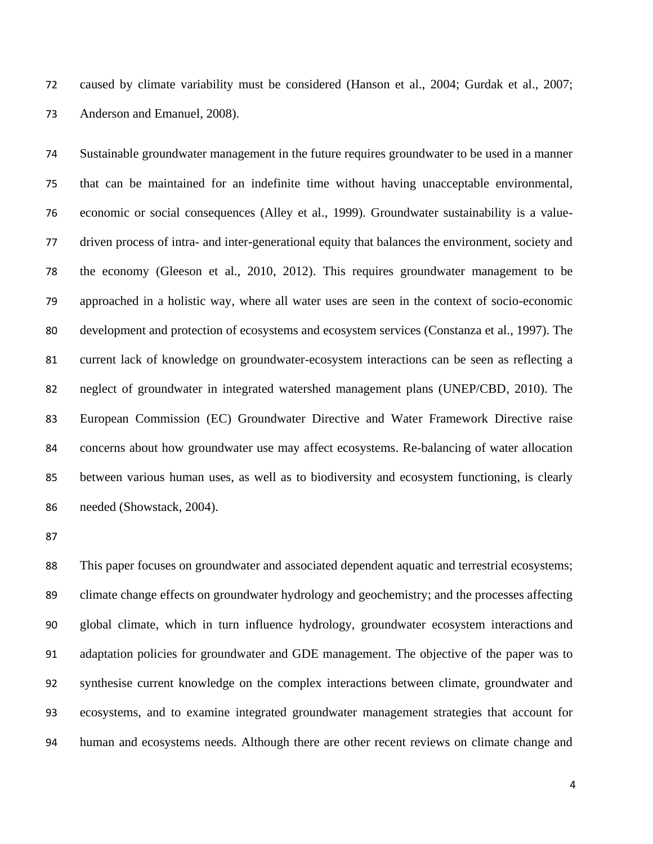caused by climate variability must be considered (Hanson et al., 2004; Gurdak et al., 2007; Anderson and Emanuel, 2008).

 Sustainable groundwater management in the future requires groundwater to be used in a manner that can be maintained for an indefinite time without having unacceptable environmental, economic or social consequences (Alley et al., 1999). Groundwater sustainability is a value- driven process of intra- and inter-generational equity that balances the environment, society and the economy (Gleeson et al., 2010, 2012). This requires groundwater management to be approached in a holistic way, where all water uses are seen in the context of socio-economic development and protection of ecosystems and ecosystem services (Constanza et al., 1997). The current lack of knowledge on groundwater-ecosystem interactions can be seen as reflecting a neglect of groundwater in integrated watershed management plans (UNEP/CBD, 2010). The European Commission (EC) Groundwater Directive and Water Framework Directive raise concerns about how groundwater use may affect ecosystems. Re-balancing of water allocation between various human uses, as well as to biodiversity and ecosystem functioning, is clearly needed (Showstack, 2004).

 This paper focuses on groundwater and associated dependent aquatic and terrestrial ecosystems; climate change effects on groundwater hydrology and geochemistry; and the processes affecting global climate, which in turn influence hydrology, groundwater ecosystem interactions and adaptation policies for groundwater and GDE management. The objective of the paper was to synthesise current knowledge on the complex interactions between climate, groundwater and ecosystems, and to examine integrated groundwater management strategies that account for human and ecosystems needs. Although there are other recent reviews on climate change and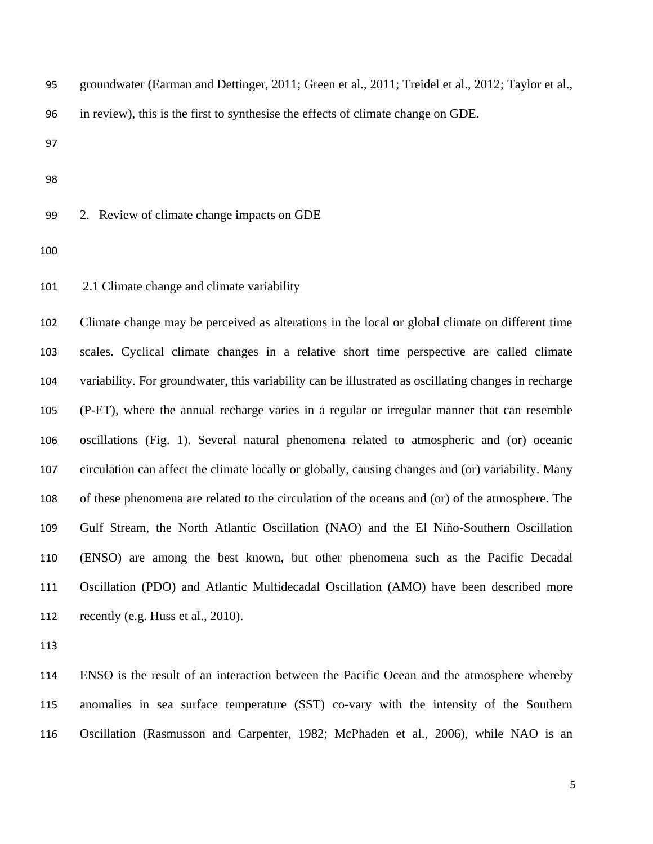| groundwater (Earman and Dettinger, 2011; Green et al., 2011; Treidel et al., 2012; Taylor et al., |  |
|---------------------------------------------------------------------------------------------------|--|
| in review), this is the first to synthesise the effects of climate change on GDE.                 |  |
|                                                                                                   |  |
|                                                                                                   |  |

2. Review of climate change impacts on GDE

2.1 Climate change and climate variability

 Climate change may be perceived as alterations in the local or global climate on different time scales. Cyclical climate changes in a relative short time perspective are called climate variability. For groundwater, this variability can be illustrated as oscillating changes in recharge (P-ET), where the annual recharge varies in a regular or irregular manner that can resemble oscillations (Fig. 1). Several natural phenomena related to atmospheric and (or) oceanic circulation can affect the climate locally or globally, causing changes and (or) variability. Many of these phenomena are related to the circulation of the oceans and (or) of the atmosphere. The Gulf Stream, the North Atlantic Oscillation (NAO) and the El Niño-Southern Oscillation (ENSO) are among the best known, but other phenomena such as the Pacific Decadal Oscillation (PDO) and Atlantic Multidecadal Oscillation (AMO) have been described more recently (e.g. Huss et al., 2010).

 ENSO is the result of an interaction between the Pacific Ocean and the atmosphere whereby anomalies in sea surface temperature (SST) co-vary with the intensity of the Southern Oscillation (Rasmusson and Carpenter, 1982; McPhaden et al., 2006), while NAO is an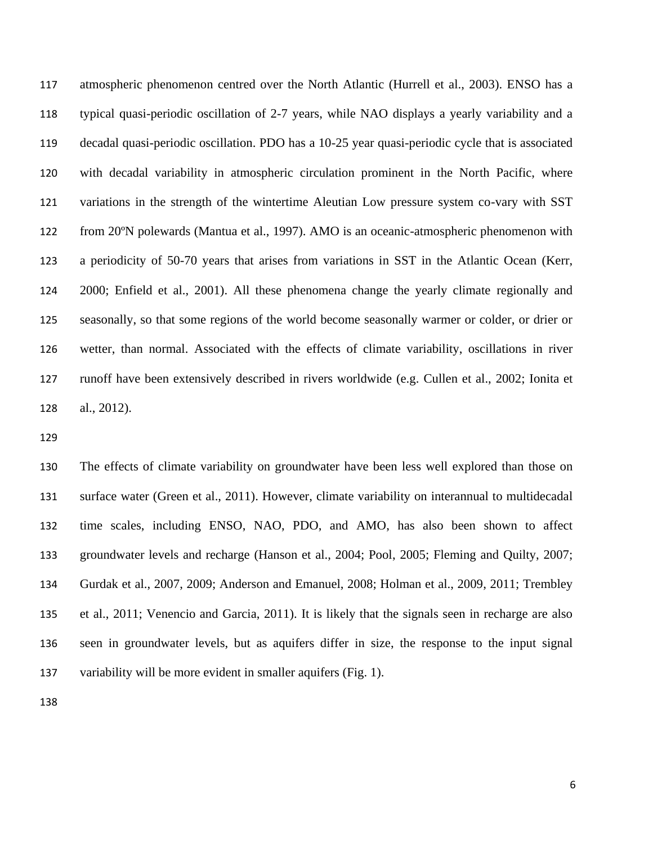atmospheric phenomenon centred over the North Atlantic (Hurrell et al., 2003). ENSO has a typical quasi-periodic oscillation of 2-7 years, while NAO displays a yearly variability and a decadal quasi-periodic oscillation. PDO has a 10-25 year quasi-periodic cycle that is associated with decadal variability in atmospheric circulation prominent in the North Pacific, where variations in the strength of the wintertime Aleutian Low pressure system co-vary with SST from 20ºN polewards (Mantua et al., 1997). AMO is an oceanic-atmospheric phenomenon with a periodicity of 50-70 years that arises from variations in SST in the Atlantic Ocean (Kerr, 2000; Enfield et al., 2001). All these phenomena change the yearly climate regionally and seasonally, so that some regions of the world become seasonally warmer or colder, or drier or wetter, than normal. Associated with the effects of climate variability, oscillations in river runoff have been extensively described in rivers worldwide (e.g. Cullen et al., 2002; Ionita et al., 2012).

 The effects of climate variability on groundwater have been less well explored than those on surface water (Green et al., 2011). However, climate variability on interannual to multidecadal time scales, including ENSO, NAO, PDO, and AMO, has also been shown to affect groundwater levels and recharge (Hanson et al., 2004; Pool, 2005; Fleming and Quilty, 2007; Gurdak et al., 2007, 2009; Anderson and Emanuel, 2008; Holman et al., 2009, 2011; Trembley et al., 2011; Venencio and Garcia, 2011). It is likely that the signals seen in recharge are also seen in groundwater levels, but as aquifers differ in size, the response to the input signal variability will be more evident in smaller aquifers (Fig. 1).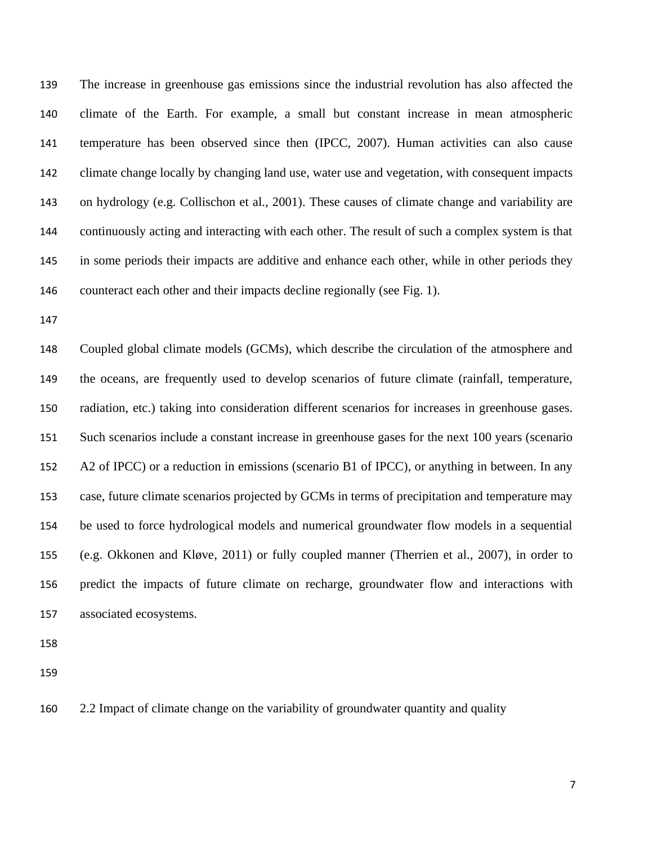The increase in greenhouse gas emissions since the industrial revolution has also affected the climate of the Earth. For example, a small but constant increase in mean atmospheric temperature has been observed since then (IPCC, 2007). Human activities can also cause climate change locally by changing land use, water use and vegetation, with consequent impacts on hydrology (e.g. Collischon et al., 2001). These causes of climate change and variability are continuously acting and interacting with each other. The result of such a complex system is that in some periods their impacts are additive and enhance each other, while in other periods they counteract each other and their impacts decline regionally (see Fig. 1).

 Coupled global climate models (GCMs), which describe the circulation of the atmosphere and the oceans, are frequently used to develop scenarios of future climate (rainfall, temperature, radiation, etc.) taking into consideration different scenarios for increases in greenhouse gases. Such scenarios include a constant increase in greenhouse gases for the next 100 years (scenario A2 of IPCC) or a reduction in emissions (scenario B1 of IPCC), or anything in between. In any case, future climate scenarios projected by GCMs in terms of precipitation and temperature may be used to force hydrological models and numerical groundwater flow models in a sequential (e.g. Okkonen and Kløve, 2011) or fully coupled manner (Therrien et al., 2007), in order to predict the impacts of future climate on recharge, groundwater flow and interactions with associated ecosystems.

2.2 Impact of climate change on the variability of groundwater quantity and quality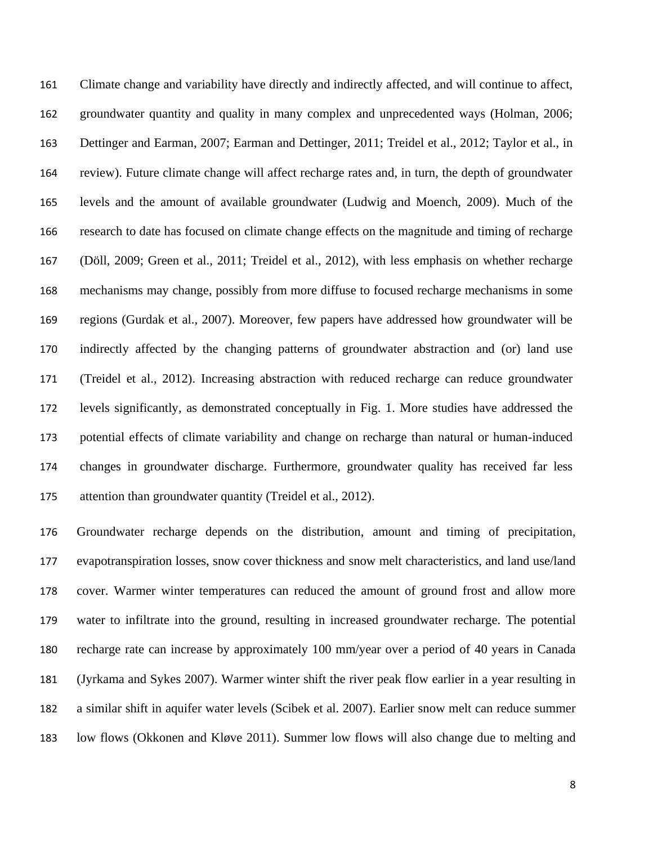Climate change and variability have directly and indirectly affected, and will continue to affect, groundwater quantity and quality in many complex and unprecedented ways (Holman, 2006; Dettinger and Earman, 2007; Earman and Dettinger, 2011; Treidel et al., 2012; Taylor et al., in review). Future climate change will affect recharge rates and, in turn, the depth of groundwater levels and the amount of available groundwater (Ludwig and Moench, 2009). Much of the research to date has focused on climate change effects on the magnitude and timing of recharge (Döll, 2009; Green et al., 2011; Treidel et al., 2012), with less emphasis on whether recharge mechanisms may change, possibly from more diffuse to focused recharge mechanisms in some regions (Gurdak et al., 2007). Moreover, few papers have addressed how groundwater will be indirectly affected by the changing patterns of groundwater abstraction and (or) land use (Treidel et al., 2012). Increasing abstraction with reduced recharge can reduce groundwater levels significantly, as demonstrated conceptually in Fig. 1. More studies have addressed the potential effects of climate variability and change on recharge than natural or human-induced changes in groundwater discharge. Furthermore, groundwater quality has received far less attention than groundwater quantity (Treidel et al., 2012).

 Groundwater recharge depends on the distribution, amount and timing of precipitation, evapotranspiration losses, snow cover thickness and snow melt characteristics, and land use/land cover. Warmer winter temperatures can reduced the amount of ground frost and allow more water to infiltrate into the ground, resulting in increased groundwater recharge. The potential recharge rate can increase by approximately 100 mm/year over a period of 40 years in Canada (Jyrkama and Sykes 2007). Warmer winter shift the river peak flow earlier in a year resulting in a similar shift in aquifer water levels (Scibek et al. 2007). Earlier snow melt can reduce summer low flows (Okkonen and Kløve 2011). Summer low flows will also change due to melting and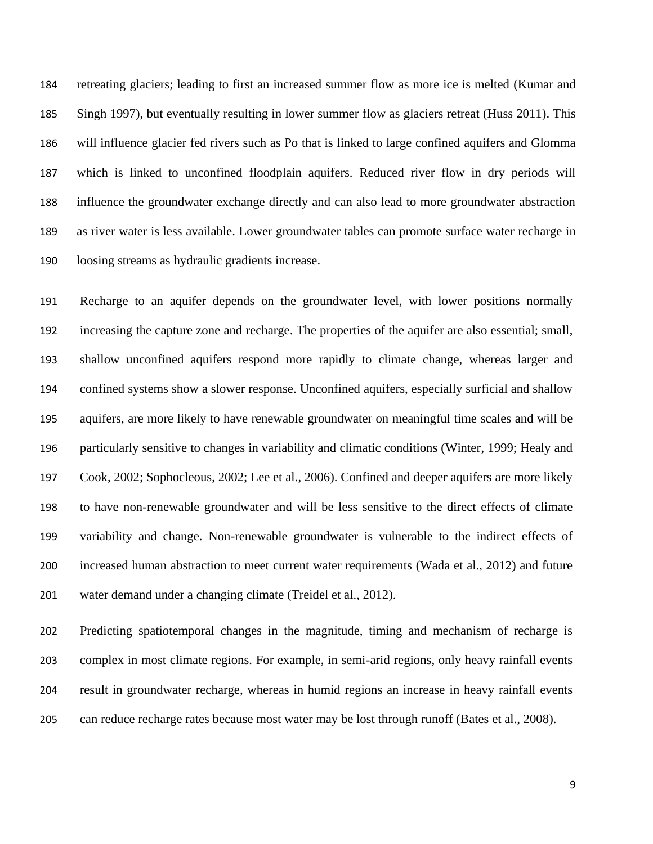retreating glaciers; leading to first an increased summer flow as more ice is melted (Kumar and Singh 1997), but eventually resulting in lower summer flow as glaciers retreat (Huss 2011). This will influence glacier fed rivers such as Po that is linked to large confined aquifers and Glomma which is linked to unconfined floodplain aquifers. Reduced river flow in dry periods will influence the groundwater exchange directly and can also lead to more groundwater abstraction as river water is less available. Lower groundwater tables can promote surface water recharge in loosing streams as hydraulic gradients increase.

 Recharge to an aquifer depends on the groundwater level, with lower positions normally increasing the capture zone and recharge. The properties of the aquifer are also essential; small, shallow unconfined aquifers respond more rapidly to climate change, whereas larger and confined systems show a slower response. Unconfined aquifers, especially surficial and shallow aquifers, are more likely to have renewable groundwater on meaningful time scales and will be particularly sensitive to changes in variability and climatic conditions (Winter, 1999; Healy and Cook, 2002; Sophocleous, 2002; Lee et al., 2006). Confined and deeper aquifers are more likely to have non-renewable groundwater and will be less sensitive to the direct effects of climate variability and change. Non-renewable groundwater is vulnerable to the indirect effects of increased human abstraction to meet current water requirements (Wada et al., 2012) and future water demand under a changing climate (Treidel et al., 2012).

 Predicting spatiotemporal changes in the magnitude, timing and mechanism of recharge is complex in most climate regions. For example, in semi-arid regions, only heavy rainfall events result in groundwater recharge, whereas in humid regions an increase in heavy rainfall events can reduce recharge rates because most water may be lost through runoff (Bates et al., 2008).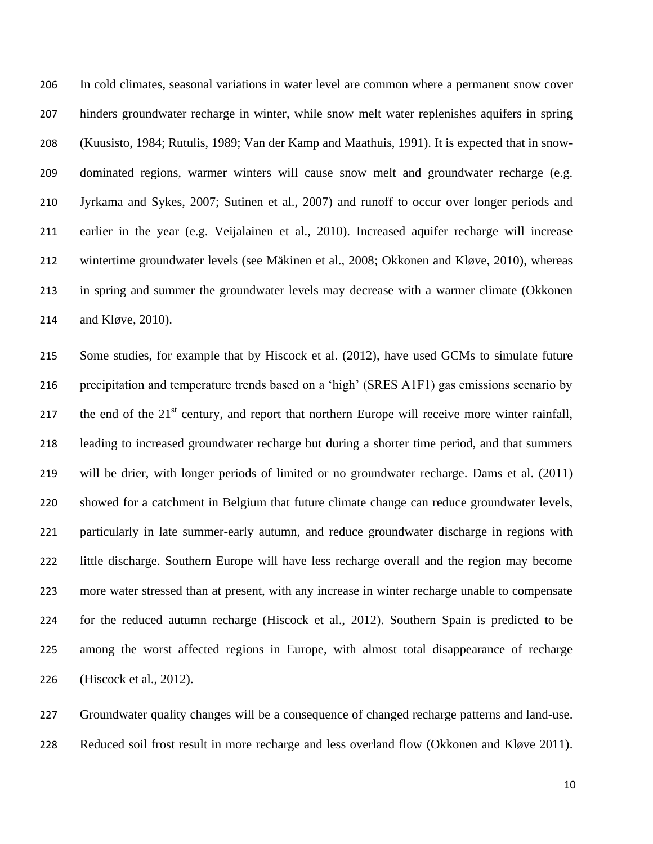In cold climates, seasonal variations in water level are common where a permanent snow cover hinders groundwater recharge in winter, while snow melt water replenishes aquifers in spring (Kuusisto, 1984; Rutulis, 1989; Van der Kamp and Maathuis, 1991). It is expected that in snow- dominated regions, warmer winters will cause snow melt and groundwater recharge (e.g. Jyrkama and Sykes, 2007; Sutinen et al., 2007) and runoff to occur over longer periods and earlier in the year (e.g. Veijalainen et al., 2010). Increased aquifer recharge will increase wintertime groundwater levels (see Mäkinen et al., 2008; Okkonen and Kløve, 2010), whereas in spring and summer the groundwater levels may decrease with a warmer climate (Okkonen and Kløve, 2010).

 Some studies, for example that by Hiscock et al. (2012), have used GCMs to simulate future precipitation and temperature trends based on a 'high' (SRES A1F1) gas emissions scenario by 217 the end of the  $21<sup>st</sup>$  century, and report that northern Europe will receive more winter rainfall, leading to increased groundwater recharge but during a shorter time period, and that summers will be drier, with longer periods of limited or no groundwater recharge. Dams et al. (2011) showed for a catchment in Belgium that future climate change can reduce groundwater levels, particularly in late summer-early autumn, and reduce groundwater discharge in regions with little discharge. Southern Europe will have less recharge overall and the region may become more water stressed than at present, with any increase in winter recharge unable to compensate for the reduced autumn recharge (Hiscock et al., 2012). Southern Spain is predicted to be among the worst affected regions in Europe, with almost total disappearance of recharge (Hiscock et al., 2012).

 Groundwater quality changes will be a consequence of changed recharge patterns and land-use. Reduced soil frost result in more recharge and less overland flow (Okkonen and Kløve 2011).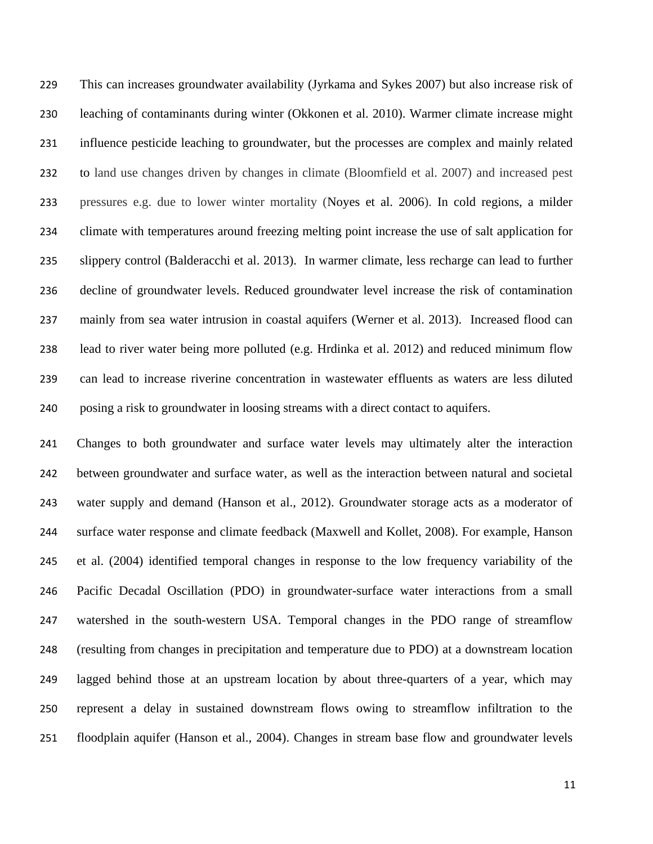This can increases groundwater availability (Jyrkama and Sykes 2007) but also increase risk of leaching of contaminants during winter (Okkonen et al. 2010). Warmer climate increase might influence pesticide leaching to groundwater, but the processes are complex and mainly related to land use changes driven by changes in climate (Bloomfield et al. 2007) and increased pest pressures e.g. due to lower winter mortality (Noyes et al. 2006). In cold regions, a milder climate with temperatures around freezing melting point increase the use of salt application for slippery control (Balderacchi et al. 2013). In warmer climate, less recharge can lead to further decline of groundwater levels. Reduced groundwater level increase the risk of contamination mainly from sea water intrusion in coastal aquifers (Werner et al. 2013). Increased flood can lead to river water being more polluted (e.g. Hrdinka et al. 2012) and reduced minimum flow can lead to increase riverine concentration in wastewater effluents as waters are less diluted posing a risk to groundwater in loosing streams with a direct contact to aquifers.

 Changes to both groundwater and surface water levels may ultimately alter the interaction between groundwater and surface water, as well as the interaction between natural and societal water supply and demand (Hanson et al., 2012). Groundwater storage acts as a moderator of surface water response and climate feedback (Maxwell and Kollet, 2008). For example, Hanson et al. (2004) identified temporal changes in response to the low frequency variability of the Pacific Decadal Oscillation (PDO) in groundwater-surface water interactions from a small watershed in the south-western USA. Temporal changes in the PDO range of streamflow (resulting from changes in precipitation and temperature due to PDO) at a downstream location lagged behind those at an upstream location by about three-quarters of a year, which may represent a delay in sustained downstream flows owing to streamflow infiltration to the floodplain aquifer (Hanson et al., 2004). Changes in stream base flow and groundwater levels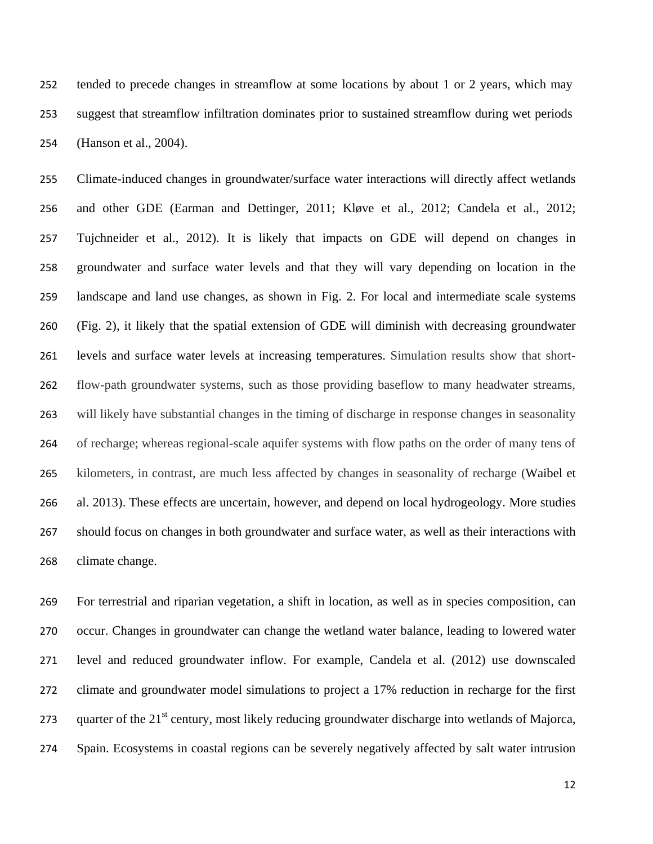tended to precede changes in streamflow at some locations by about 1 or 2 years, which may suggest that streamflow infiltration dominates prior to sustained streamflow during wet periods (Hanson et al., 2004).

 Climate-induced changes in groundwater/surface water interactions will directly affect wetlands and other GDE (Earman and Dettinger, 2011; Kløve et al., 2012; Candela et al., 2012; Tujchneider et al., 2012). It is likely that impacts on GDE will depend on changes in groundwater and surface water levels and that they will vary depending on location in the landscape and land use changes, as shown in Fig. 2. For local and intermediate scale systems (Fig. 2), it likely that the spatial extension of GDE will diminish with decreasing groundwater levels and surface water levels at increasing temperatures. Simulation results show that short- flow-path groundwater systems, such as those providing baseflow to many headwater streams, will likely have substantial changes in the timing of discharge in response changes in seasonality of recharge; whereas regional-scale aquifer systems with flow paths on the order of many tens of kilometers, in contrast, are much less affected by changes in seasonality of recharge (Waibel et al. 2013). These effects are uncertain, however, and depend on local hydrogeology. More studies should focus on changes in both groundwater and surface water, as well as their interactions with climate change.

 For terrestrial and riparian vegetation, a shift in location, as well as in species composition, can occur. Changes in groundwater can change the wetland water balance, leading to lowered water level and reduced groundwater inflow. For example, Candela et al. (2012) use downscaled climate and groundwater model simulations to project a 17% reduction in recharge for the first 273 quarter of the  $21<sup>st</sup>$  century, most likely reducing groundwater discharge into wetlands of Majorca, Spain. Ecosystems in coastal regions can be severely negatively affected by salt water intrusion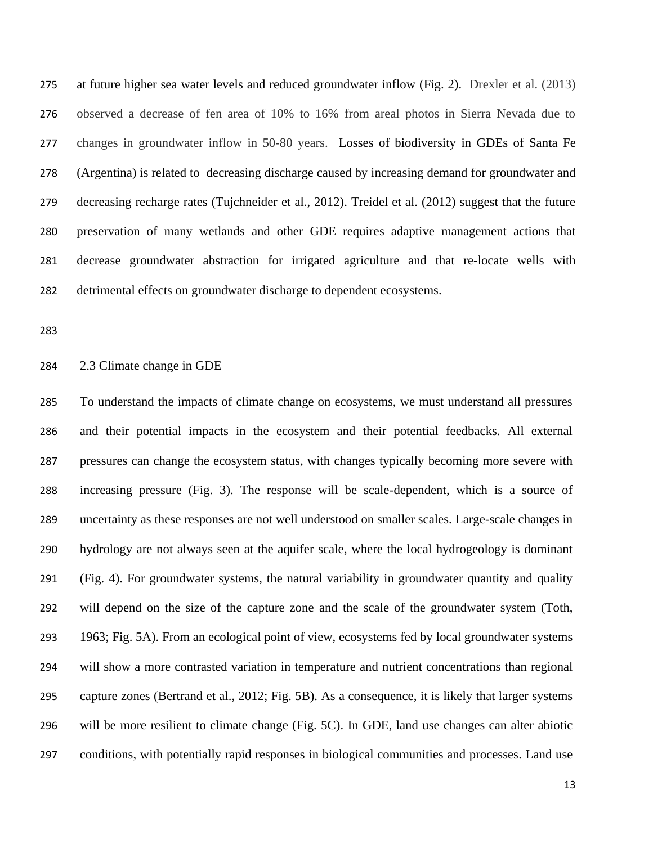at future higher sea water levels and reduced groundwater inflow (Fig. 2). Drexler et al. (2013) observed a decrease of fen area of 10% to 16% from areal photos in Sierra Nevada due to changes in groundwater inflow in 50-80 years. Losses of biodiversity in GDEs of Santa Fe (Argentina) is related to decreasing discharge caused by increasing demand for groundwater and decreasing recharge rates (Tujchneider et al., 2012). Treidel et al. (2012) suggest that the future preservation of many wetlands and other GDE requires adaptive management actions that decrease groundwater abstraction for irrigated agriculture and that re-locate wells with detrimental effects on groundwater discharge to dependent ecosystems.

# 2.3 Climate change in GDE

 To understand the impacts of climate change on ecosystems, we must understand all pressures and their potential impacts in the ecosystem and their potential feedbacks. All external pressures can change the ecosystem status, with changes typically becoming more severe with increasing pressure (Fig. 3). The response will be scale-dependent, which is a source of uncertainty as these responses are not well understood on smaller scales. Large-scale changes in hydrology are not always seen at the aquifer scale, where the local hydrogeology is dominant (Fig. 4). For groundwater systems, the natural variability in groundwater quantity and quality will depend on the size of the capture zone and the scale of the groundwater system (Toth, 1963; Fig. 5A). From an ecological point of view, ecosystems fed by local groundwater systems will show a more contrasted variation in temperature and nutrient concentrations than regional capture zones (Bertrand et al., 2012; Fig. 5B). As a consequence, it is likely that larger systems will be more resilient to climate change (Fig. 5C). In GDE, land use changes can alter abiotic conditions, with potentially rapid responses in biological communities and processes. Land use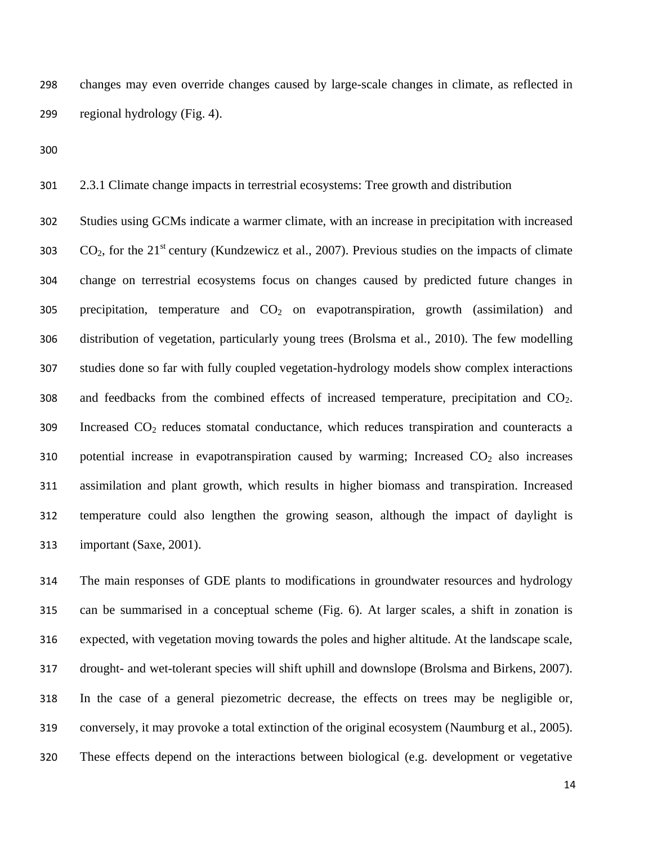changes may even override changes caused by large-scale changes in climate, as reflected in regional hydrology (Fig. 4).

2.3.1 Climate change impacts in terrestrial ecosystems: Tree growth and distribution

 Studies using GCMs indicate a warmer climate, with an increase in precipitation with increased  $CO<sub>2</sub>$ , for the 21<sup>st</sup> century (Kundzewicz et al., 2007). Previous studies on the impacts of climate change on terrestrial ecosystems focus on changes caused by predicted future changes in 305 precipitation, temperature and  $CO<sub>2</sub>$  on evapotranspiration, growth (assimilation) and distribution of vegetation, particularly young trees (Brolsma et al., 2010). The few modelling studies done so far with fully coupled vegetation-hydrology models show complex interactions 308 and feedbacks from the combined effects of increased temperature, precipitation and  $CO<sub>2</sub>$ . Increased CO<sup>2</sup> reduces stomatal conductance, which reduces transpiration and counteracts a 310 potential increase in evapotranspiration caused by warming; Increased  $CO<sub>2</sub>$  also increases assimilation and plant growth, which results in higher biomass and transpiration. Increased temperature could also lengthen the growing season, although the impact of daylight is important (Saxe, 2001).

 The main responses of GDE plants to modifications in groundwater resources and hydrology can be summarised in a conceptual scheme (Fig. 6). At larger scales, a shift in zonation is expected, with vegetation moving towards the poles and higher altitude. At the landscape scale, drought- and wet-tolerant species will shift uphill and downslope (Brolsma and Birkens, 2007). In the case of a general piezometric decrease, the effects on trees may be negligible or, conversely, it may provoke a total extinction of the original ecosystem (Naumburg et al., 2005). These effects depend on the interactions between biological (e.g. development or vegetative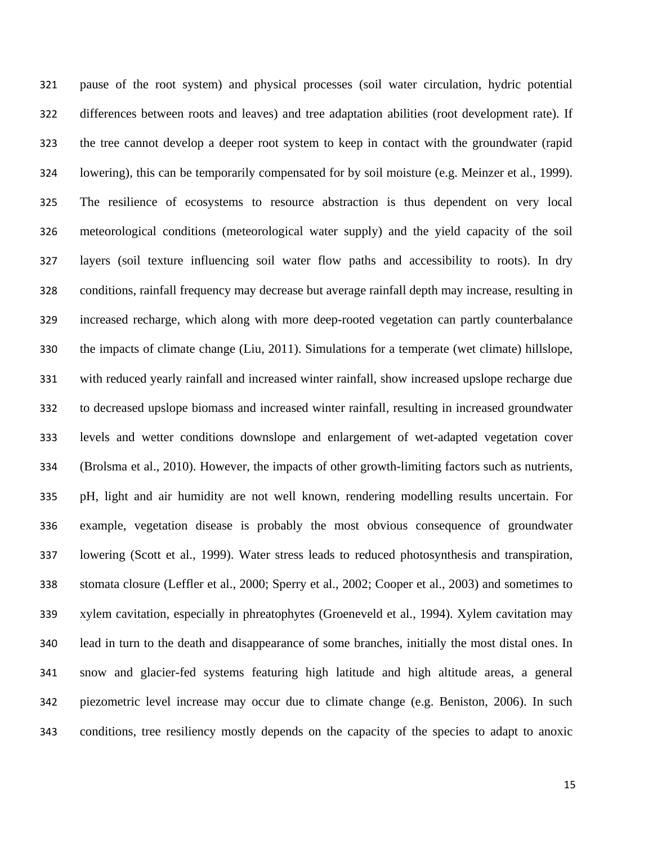pause of the root system) and physical processes (soil water circulation, hydric potential differences between roots and leaves) and tree adaptation abilities (root development rate). If the tree cannot develop a deeper root system to keep in contact with the groundwater (rapid lowering), this can be temporarily compensated for by soil moisture (e.g. Meinzer et al., 1999). The resilience of ecosystems to resource abstraction is thus dependent on very local meteorological conditions (meteorological water supply) and the yield capacity of the soil layers (soil texture influencing soil water flow paths and accessibility to roots). In dry conditions, rainfall frequency may decrease but average rainfall depth may increase, resulting in increased recharge, which along with more deep-rooted vegetation can partly counterbalance the impacts of climate change (Liu, 2011). Simulations for a temperate (wet climate) hillslope, with reduced yearly rainfall and increased winter rainfall, show increased upslope recharge due to decreased upslope biomass and increased winter rainfall, resulting in increased groundwater levels and wetter conditions downslope and enlargement of wet-adapted vegetation cover (Brolsma et al., 2010). However, the impacts of other growth-limiting factors such as nutrients, pH, light and air humidity are not well known, rendering modelling results uncertain. For example, vegetation disease is probably the most obvious consequence of groundwater lowering (Scott et al., 1999). Water stress leads to reduced photosynthesis and transpiration, stomata closure (Leffler et al., 2000; Sperry et al., 2002; Cooper et al., 2003) and sometimes to xylem cavitation, especially in phreatophytes (Groeneveld et al., 1994). Xylem cavitation may lead in turn to the death and disappearance of some branches, initially the most distal ones. In snow and glacier-fed systems featuring high latitude and high altitude areas, a general piezometric level increase may occur due to climate change (e.g. Beniston, 2006). In such conditions, tree resiliency mostly depends on the capacity of the species to adapt to anoxic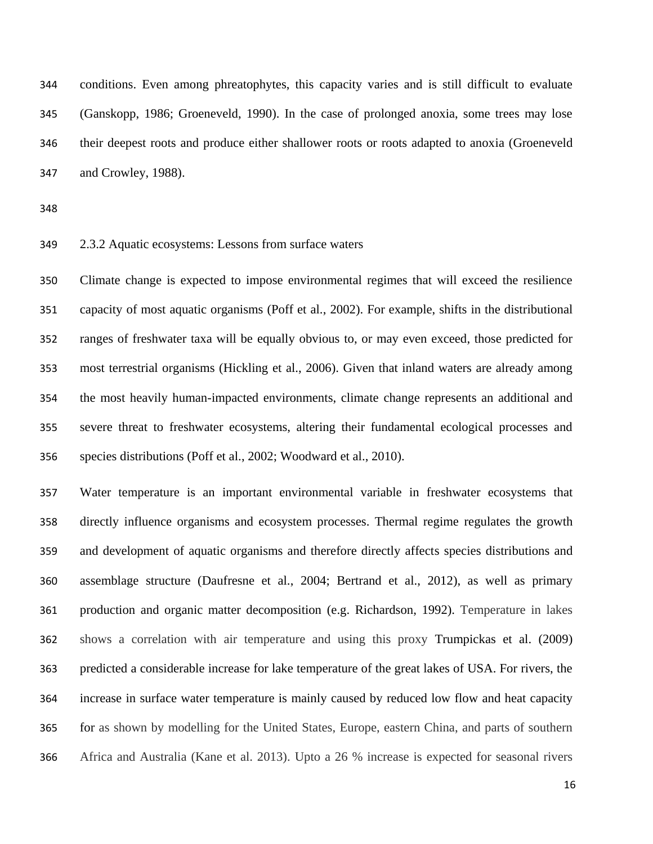conditions. Even among phreatophytes, this capacity varies and is still difficult to evaluate (Ganskopp, 1986; Groeneveld, 1990). In the case of prolonged anoxia, some trees may lose their deepest roots and produce either shallower roots or roots adapted to anoxia (Groeneveld and Crowley, 1988).

### 2.3.2 Aquatic ecosystems: Lessons from surface waters

 Climate change is expected to impose environmental regimes that will exceed the resilience capacity of most aquatic organisms (Poff et al., 2002). For example, shifts in the distributional ranges of freshwater taxa will be equally obvious to, or may even exceed, those predicted for most terrestrial organisms (Hickling et al., 2006). Given that inland waters are already among the most heavily human-impacted environments, climate change represents an additional and severe threat to freshwater ecosystems, altering their fundamental ecological processes and species distributions (Poff et al., 2002; Woodward et al., 2010).

 Water temperature is an important environmental variable in freshwater ecosystems that directly influence organisms and ecosystem processes. Thermal regime regulates the growth and development of aquatic organisms and therefore directly affects species distributions and assemblage structure (Daufresne et al., 2004; Bertrand et al., 2012), as well as primary production and organic matter decomposition (e.g. Richardson, 1992). Temperature in lakes shows a correlation with air temperature and using this proxy Trumpickas et al. (2009) predicted a considerable increase for lake temperature of the great lakes of USA. For rivers, the increase in surface water temperature is mainly caused by reduced low flow and heat capacity for as shown by modelling for the United States, Europe, eastern China, and parts of southern Africa and Australia (Kane et al. 2013). Upto a 26 % increase is expected for seasonal rivers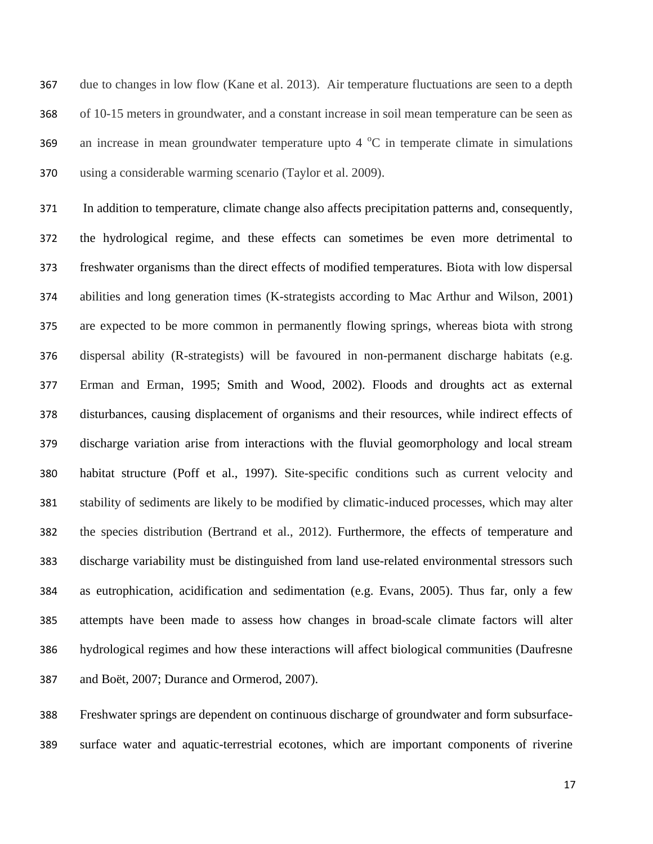due to changes in low flow (Kane et al. 2013). Air temperature fluctuations are seen to a depth of 10-15 meters in groundwater, and a constant increase in soil mean temperature can be seen as 369 an increase in mean groundwater temperature upto  $4^{\circ}$ C in temperate climate in simulations using a considerable warming scenario (Taylor et al. 2009).

 In addition to temperature, climate change also affects precipitation patterns and, consequently, the hydrological regime, and these effects can sometimes be even more detrimental to freshwater organisms than the direct effects of modified temperatures. Biota with low dispersal abilities and long generation times (K-strategists according to Mac Arthur and Wilson, 2001) are expected to be more common in permanently flowing springs, whereas biota with strong dispersal ability (R-strategists) will be favoured in non-permanent discharge habitats (e.g. Erman and Erman, 1995; Smith and Wood, 2002). Floods and droughts act as external disturbances, causing displacement of organisms and their resources, while indirect effects of discharge variation arise from interactions with the fluvial geomorphology and local stream habitat structure (Poff et al., 1997). Site-specific conditions such as current velocity and stability of sediments are likely to be modified by climatic-induced processes, which may alter the species distribution (Bertrand et al., 2012). Furthermore, the effects of temperature and discharge variability must be distinguished from land use-related environmental stressors such as eutrophication, acidification and sedimentation (e.g. Evans, 2005). Thus far, only a few attempts have been made to assess how changes in broad-scale climate factors will alter hydrological regimes and how these interactions will affect biological communities (Daufresne and Boët, 2007; Durance and Ormerod, 2007).

 Freshwater springs are dependent on continuous discharge of groundwater and form subsurface-surface water and aquatic-terrestrial ecotones, which are important components of riverine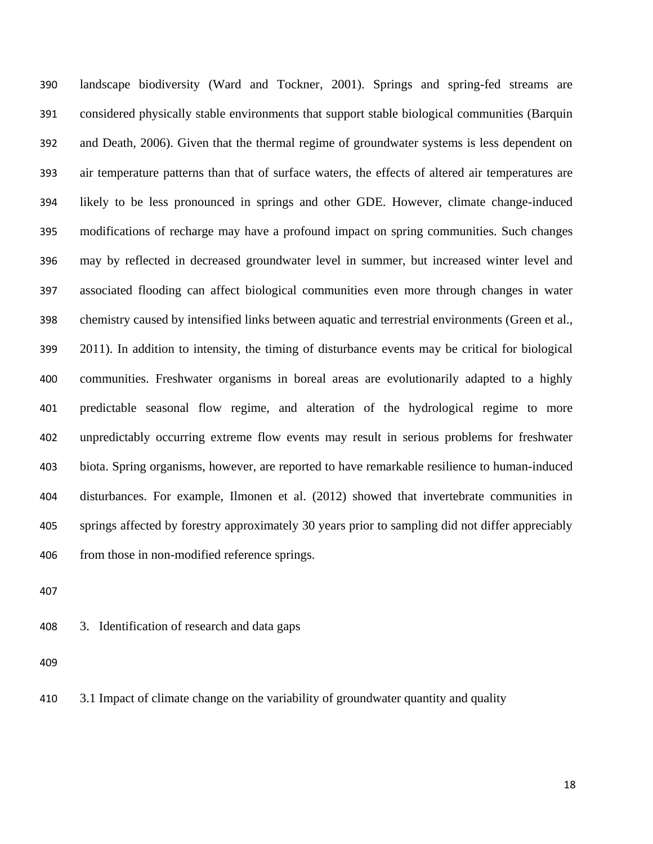landscape biodiversity (Ward and Tockner, 2001). Springs and spring-fed streams are considered physically stable environments that support stable biological communities (Barquin and Death, 2006). Given that the thermal regime of groundwater systems is less dependent on air temperature patterns than that of surface waters, the effects of altered air temperatures are likely to be less pronounced in springs and other GDE. However, climate change-induced modifications of recharge may have a profound impact on spring communities. Such changes may by reflected in decreased groundwater level in summer, but increased winter level and associated flooding can affect biological communities even more through changes in water chemistry caused by intensified links between aquatic and terrestrial environments (Green et al., 2011). In addition to intensity, the timing of disturbance events may be critical for biological communities. Freshwater organisms in boreal areas are evolutionarily adapted to a highly predictable seasonal flow regime, and alteration of the hydrological regime to more unpredictably occurring extreme flow events may result in serious problems for freshwater biota. Spring organisms, however, are reported to have remarkable resilience to human-induced disturbances. For example, Ilmonen et al. (2012) showed that invertebrate communities in springs affected by forestry approximately 30 years prior to sampling did not differ appreciably from those in non-modified reference springs.

3. Identification of research and data gaps

3.1 Impact of climate change on the variability of groundwater quantity and quality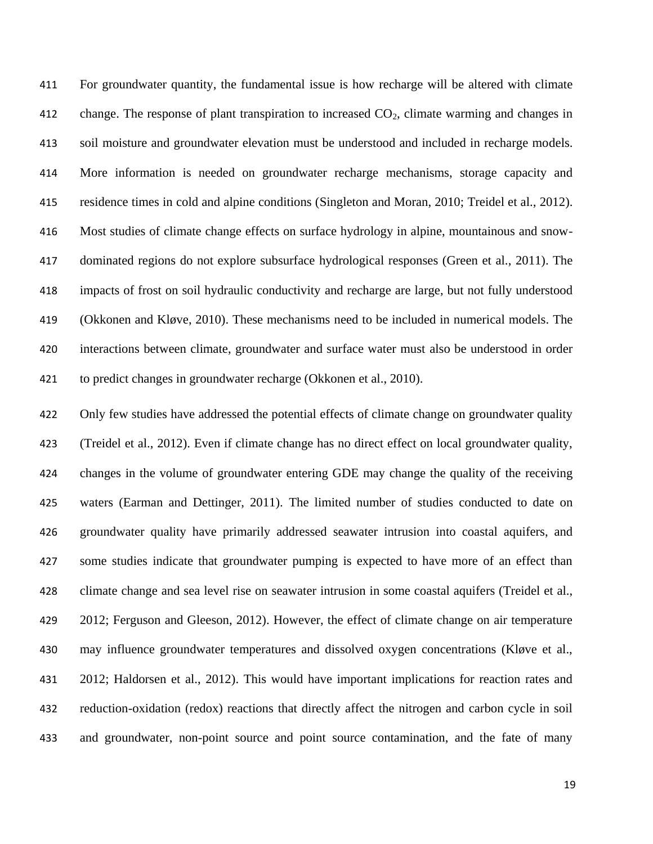For groundwater quantity, the fundamental issue is how recharge will be altered with climate 412 change. The response of plant transpiration to increased  $CO<sub>2</sub>$ , climate warming and changes in soil moisture and groundwater elevation must be understood and included in recharge models. More information is needed on groundwater recharge mechanisms, storage capacity and residence times in cold and alpine conditions (Singleton and Moran, 2010; Treidel et al., 2012). Most studies of climate change effects on surface hydrology in alpine, mountainous and snow- dominated regions do not explore subsurface hydrological responses (Green et al., 2011). The impacts of frost on soil hydraulic conductivity and recharge are large, but not fully understood (Okkonen and Kløve, 2010). These mechanisms need to be included in numerical models. The interactions between climate, groundwater and surface water must also be understood in order to predict changes in groundwater recharge (Okkonen et al., 2010).

 Only few studies have addressed the potential effects of climate change on groundwater quality (Treidel et al., 2012). Even if climate change has no direct effect on local groundwater quality, changes in the volume of groundwater entering GDE may change the quality of the receiving waters (Earman and Dettinger, 2011). The limited number of studies conducted to date on groundwater quality have primarily addressed seawater intrusion into coastal aquifers, and some studies indicate that groundwater pumping is expected to have more of an effect than climate change and sea level rise on seawater intrusion in some coastal aquifers (Treidel et al., 429 2012; Ferguson and Gleeson, 2012). However, the effect of climate change on air temperature may influence groundwater temperatures and dissolved oxygen concentrations (Kløve et al., 2012; Haldorsen et al., 2012). This would have important implications for reaction rates and reduction-oxidation (redox) reactions that directly affect the nitrogen and carbon cycle in soil and groundwater, non-point source and point source contamination, and the fate of many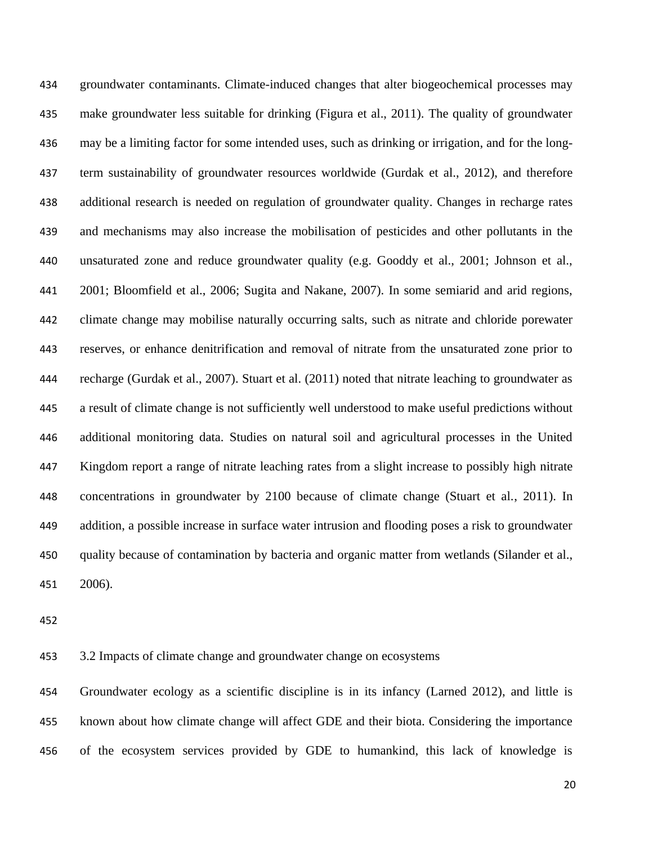groundwater contaminants. Climate-induced changes that alter biogeochemical processes may make groundwater less suitable for drinking (Figura et al., 2011). The quality of groundwater may be a limiting factor for some intended uses, such as drinking or irrigation, and for the long- term sustainability of groundwater resources worldwide (Gurdak et al., 2012), and therefore additional research is needed on regulation of groundwater quality. Changes in recharge rates and mechanisms may also increase the mobilisation of pesticides and other pollutants in the unsaturated zone and reduce groundwater quality (e.g. Gooddy et al., 2001; Johnson et al., 2001; Bloomfield et al., 2006; Sugita and Nakane, 2007). In some semiarid and arid regions, climate change may mobilise naturally occurring salts, such as nitrate and chloride porewater reserves, or enhance denitrification and removal of nitrate from the unsaturated zone prior to recharge (Gurdak et al., 2007). Stuart et al. (2011) noted that nitrate leaching to groundwater as a result of climate change is not sufficiently well understood to make useful predictions without additional monitoring data. Studies on natural soil and agricultural processes in the United Kingdom report a range of nitrate leaching rates from a slight increase to possibly high nitrate concentrations in groundwater by 2100 because of climate change (Stuart et al., 2011). In addition, a possible increase in surface water intrusion and flooding poses a risk to groundwater quality because of contamination by bacteria and organic matter from wetlands (Silander et al., 2006).

3.2 Impacts of climate change and groundwater change on ecosystems

 Groundwater ecology as a scientific discipline is in its infancy (Larned 2012), and little is known about how climate change will affect GDE and their biota. Considering the importance of the ecosystem services provided by GDE to humankind, this lack of knowledge is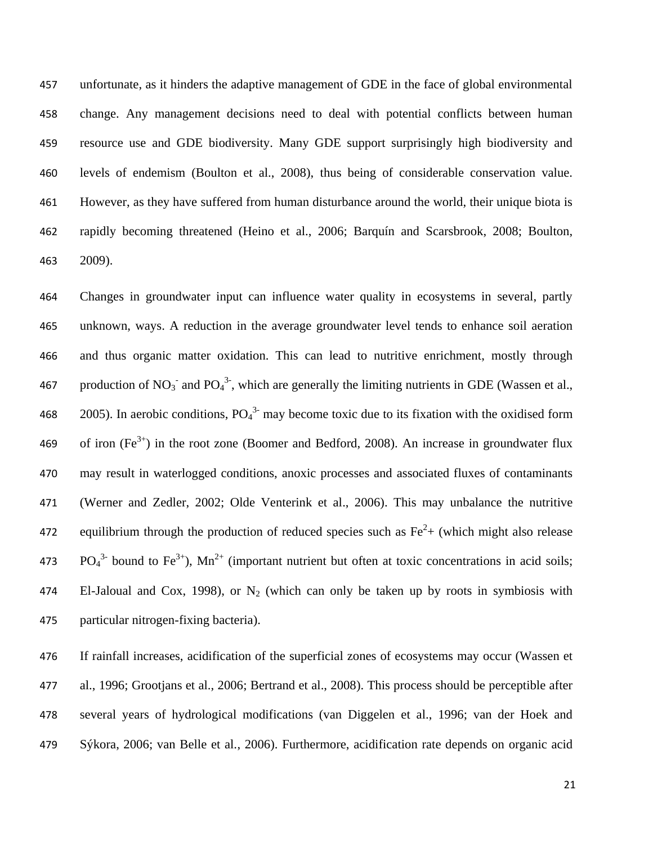unfortunate, as it hinders the adaptive management of GDE in the face of global environmental change. Any management decisions need to deal with potential conflicts between human resource use and GDE biodiversity. Many GDE support surprisingly high biodiversity and levels of endemism (Boulton et al., 2008), thus being of considerable conservation value. However, as they have suffered from human disturbance around the world, their unique biota is rapidly becoming threatened (Heino et al., 2006; Barquín and Scarsbrook, 2008; Boulton, 2009).

 Changes in groundwater input can influence water quality in ecosystems in several, partly unknown, ways. A reduction in the average groundwater level tends to enhance soil aeration and thus organic matter oxidation. This can lead to nutritive enrichment, mostly through 467 production of NO<sub>3</sub><sup>-</sup> and PO<sub>4</sub><sup>3-</sup>, which are generally the limiting nutrients in GDE (Wassen et al., 468 2005). In aerobic conditions,  $PO<sub>4</sub><sup>3</sup>$  may become toxic due to its fixation with the oxidised form 469 of iron  $(Fe^{3+})$  in the root zone (Boomer and Bedford, 2008). An increase in groundwater flux may result in waterlogged conditions, anoxic processes and associated fluxes of contaminants (Werner and Zedler, 2002; Olde Venterink et al., 2006). This may unbalance the nutritive 472 equilibrium through the production of reduced species such as  $Fe<sup>2</sup>$  (which might also release 473 PO<sub>4</sub><sup>3-</sup> bound to Fe<sup>3+</sup>), Mn<sup>2+</sup> (important nutrient but often at toxic concentrations in acid soils; 474 El-Jaloual and Cox, 1998), or  $N_2$  (which can only be taken up by roots in symbiosis with particular nitrogen-fixing bacteria).

 If rainfall increases, acidification of the superficial zones of ecosystems may occur (Wassen et al., 1996; Grootjans et al., 2006; Bertrand et al., 2008). This process should be perceptible after several years of hydrological modifications (van Diggelen et al., 1996; van der Hoek and Sýkora, 2006; van Belle et al., 2006). Furthermore, acidification rate depends on organic acid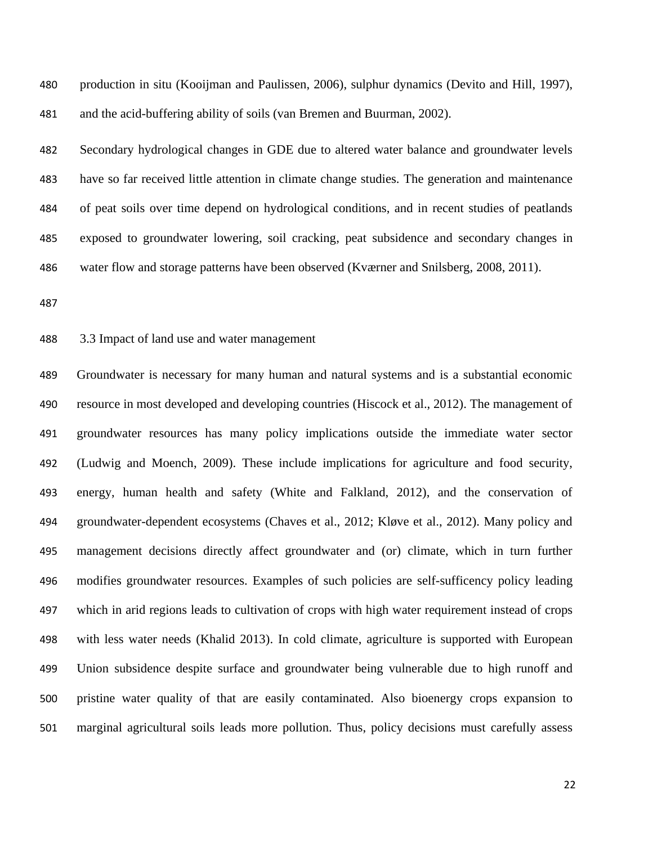production in situ (Kooijman and Paulissen, 2006), sulphur dynamics (Devito and Hill, 1997), and the acid-buffering ability of soils (van Bremen and Buurman, 2002).

 Secondary hydrological changes in GDE due to altered water balance and groundwater levels have so far received little attention in climate change studies. The generation and maintenance of peat soils over time depend on hydrological conditions, and in recent studies of peatlands exposed to groundwater lowering, soil cracking, peat subsidence and secondary changes in water flow and storage patterns have been observed (Kværner and Snilsberg, 2008, 2011).

## 3.3 Impact of land use and water management

 Groundwater is necessary for many human and natural systems and is a substantial economic resource in most developed and developing countries (Hiscock et al., 2012). The management of groundwater resources has many policy implications outside the immediate water sector (Ludwig and Moench, 2009). These include implications for agriculture and food security, energy, human health and safety (White and Falkland, 2012), and the conservation of groundwater-dependent ecosystems (Chaves et al., 2012; Kløve et al., 2012). Many policy and management decisions directly affect groundwater and (or) climate, which in turn further modifies groundwater resources. Examples of such policies are self-sufficency policy leading which in arid regions leads to cultivation of crops with high water requirement instead of crops with less water needs (Khalid 2013). In cold climate, agriculture is supported with European Union subsidence despite surface and groundwater being vulnerable due to high runoff and pristine water quality of that are easily contaminated. Also bioenergy crops expansion to marginal agricultural soils leads more pollution. Thus, policy decisions must carefully assess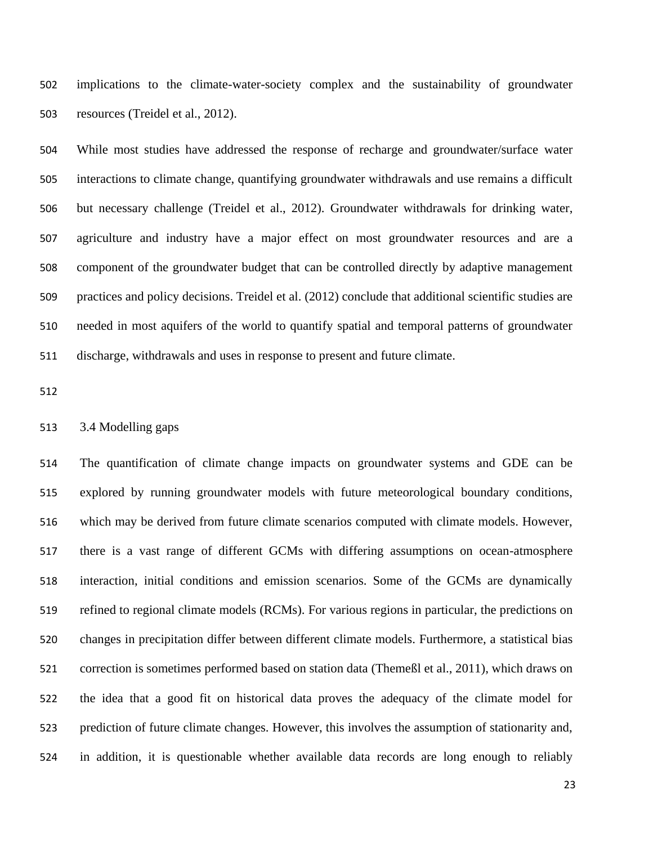implications to the climate-water-society complex and the sustainability of groundwater resources (Treidel et al., 2012).

 While most studies have addressed the response of recharge and groundwater/surface water interactions to climate change, quantifying groundwater withdrawals and use remains a difficult but necessary challenge (Treidel et al., 2012). Groundwater withdrawals for drinking water, agriculture and industry have a major effect on most groundwater resources and are a component of the groundwater budget that can be controlled directly by adaptive management practices and policy decisions. Treidel et al. (2012) conclude that additional scientific studies are needed in most aquifers of the world to quantify spatial and temporal patterns of groundwater discharge, withdrawals and uses in response to present and future climate.

# 3.4 Modelling gaps

 The quantification of climate change impacts on groundwater systems and GDE can be explored by running groundwater models with future meteorological boundary conditions, which may be derived from future climate scenarios computed with climate models. However, there is a vast range of different GCMs with differing assumptions on ocean-atmosphere interaction, initial conditions and emission scenarios. Some of the GCMs are dynamically refined to regional climate models (RCMs). For various regions in particular, the predictions on changes in precipitation differ between different climate models. Furthermore, a statistical bias correction is sometimes performed based on station data (Themeßl et al., 2011), which draws on the idea that a good fit on historical data proves the adequacy of the climate model for prediction of future climate changes. However, this involves the assumption of stationarity and, in addition, it is questionable whether available data records are long enough to reliably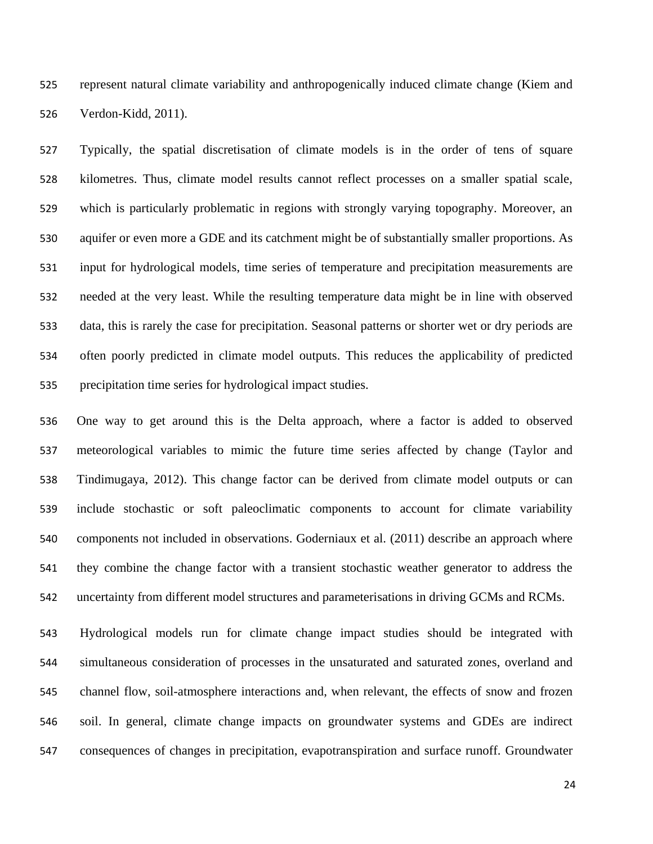represent natural climate variability and anthropogenically induced climate change (Kiem and Verdon-Kidd, 2011).

 Typically, the spatial discretisation of climate models is in the order of tens of square kilometres. Thus, climate model results cannot reflect processes on a smaller spatial scale, which is particularly problematic in regions with strongly varying topography. Moreover, an aquifer or even more a GDE and its catchment might be of substantially smaller proportions. As input for hydrological models, time series of temperature and precipitation measurements are needed at the very least. While the resulting temperature data might be in line with observed data, this is rarely the case for precipitation. Seasonal patterns or shorter wet or dry periods are often poorly predicted in climate model outputs. This reduces the applicability of predicted precipitation time series for hydrological impact studies.

 One way to get around this is the Delta approach, where a factor is added to observed meteorological variables to mimic the future time series affected by change (Taylor and Tindimugaya, 2012). This change factor can be derived from climate model outputs or can include stochastic or soft paleoclimatic components to account for climate variability components not included in observations. Goderniaux et al. (2011) describe an approach where they combine the change factor with a transient stochastic weather generator to address the uncertainty from different model structures and parameterisations in driving GCMs and RCMs.

 Hydrological models run for climate change impact studies should be integrated with simultaneous consideration of processes in the unsaturated and saturated zones, overland and channel flow, soil-atmosphere interactions and, when relevant, the effects of snow and frozen soil. In general, climate change impacts on groundwater systems and GDEs are indirect consequences of changes in precipitation, evapotranspiration and surface runoff. Groundwater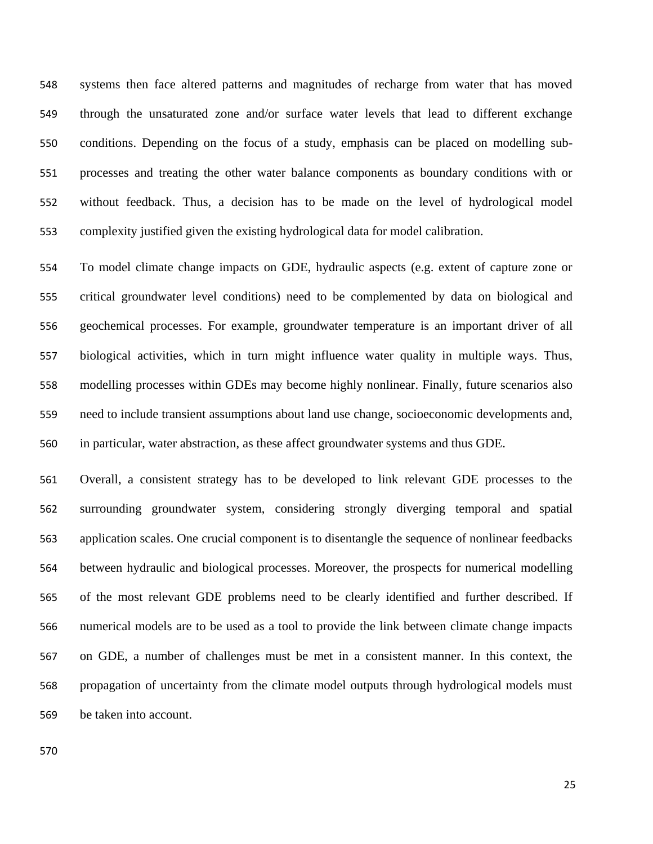systems then face altered patterns and magnitudes of recharge from water that has moved through the unsaturated zone and/or surface water levels that lead to different exchange conditions. Depending on the focus of a study, emphasis can be placed on modelling sub- processes and treating the other water balance components as boundary conditions with or without feedback. Thus, a decision has to be made on the level of hydrological model complexity justified given the existing hydrological data for model calibration.

 To model climate change impacts on GDE, hydraulic aspects (e.g. extent of capture zone or critical groundwater level conditions) need to be complemented by data on biological and geochemical processes. For example, groundwater temperature is an important driver of all biological activities, which in turn might influence water quality in multiple ways. Thus, modelling processes within GDEs may become highly nonlinear. Finally, future scenarios also need to include transient assumptions about land use change, socioeconomic developments and, in particular, water abstraction, as these affect groundwater systems and thus GDE.

 Overall, a consistent strategy has to be developed to link relevant GDE processes to the surrounding groundwater system, considering strongly diverging temporal and spatial application scales. One crucial component is to disentangle the sequence of nonlinear feedbacks between hydraulic and biological processes. Moreover, the prospects for numerical modelling of the most relevant GDE problems need to be clearly identified and further described. If numerical models are to be used as a tool to provide the link between climate change impacts on GDE, a number of challenges must be met in a consistent manner. In this context, the propagation of uncertainty from the climate model outputs through hydrological models must be taken into account.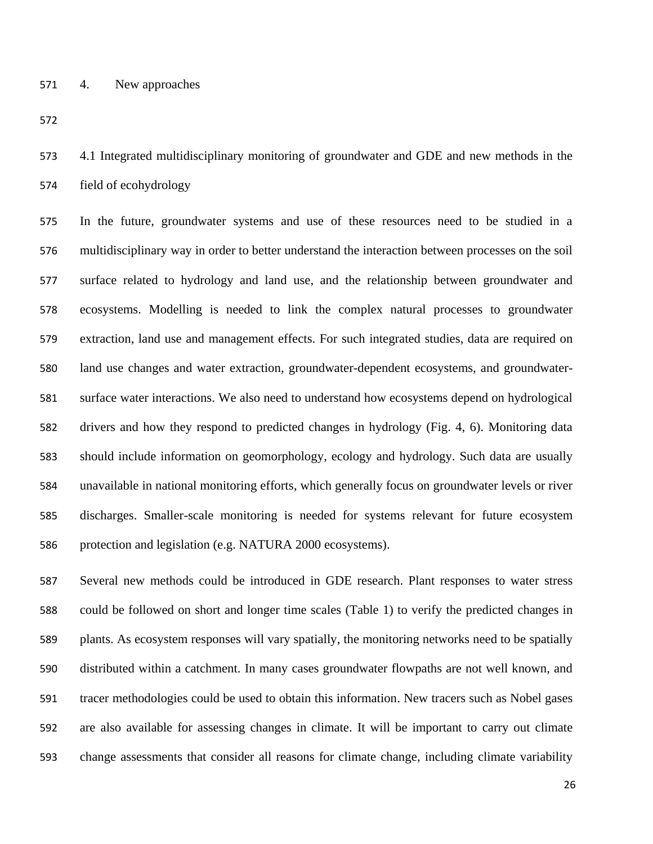4. New approaches

 4.1 Integrated multidisciplinary monitoring of groundwater and GDE and new methods in the field of ecohydrology

 In the future, groundwater systems and use of these resources need to be studied in a multidisciplinary way in order to better understand the interaction between processes on the soil surface related to hydrology and land use, and the relationship between groundwater and ecosystems. Modelling is needed to link the complex natural processes to groundwater extraction, land use and management effects. For such integrated studies, data are required on land use changes and water extraction, groundwater-dependent ecosystems, and groundwater- surface water interactions. We also need to understand how ecosystems depend on hydrological drivers and how they respond to predicted changes in hydrology (Fig. 4, 6). Monitoring data should include information on geomorphology, ecology and hydrology. Such data are usually unavailable in national monitoring efforts, which generally focus on groundwater levels or river discharges. Smaller-scale monitoring is needed for systems relevant for future ecosystem protection and legislation (e.g. NATURA 2000 ecosystems).

 Several new methods could be introduced in GDE research. Plant responses to water stress could be followed on short and longer time scales (Table 1) to verify the predicted changes in plants. As ecosystem responses will vary spatially, the monitoring networks need to be spatially distributed within a catchment. In many cases groundwater flowpaths are not well known, and tracer methodologies could be used to obtain this information. New tracers such as Nobel gases are also available for assessing changes in climate. It will be important to carry out climate change assessments that consider all reasons for climate change, including climate variability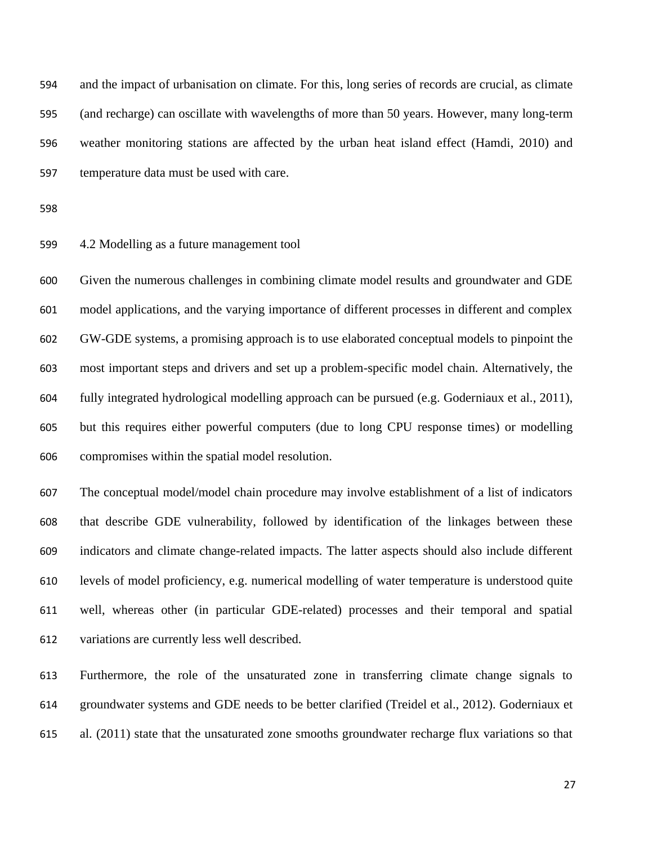and the impact of urbanisation on climate. For this, long series of records are crucial, as climate (and recharge) can oscillate with wavelengths of more than 50 years. However, many long-term weather monitoring stations are affected by the urban heat island effect (Hamdi, 2010) and temperature data must be used with care.

#### 4.2 Modelling as a future management tool

 Given the numerous challenges in combining climate model results and groundwater and GDE model applications, and the varying importance of different processes in different and complex GW-GDE systems, a promising approach is to use elaborated conceptual models to pinpoint the most important steps and drivers and set up a problem-specific model chain. Alternatively, the fully integrated hydrological modelling approach can be pursued (e.g. Goderniaux et al., 2011), but this requires either powerful computers (due to long CPU response times) or modelling compromises within the spatial model resolution.

 The conceptual model/model chain procedure may involve establishment of a list of indicators that describe GDE vulnerability, followed by identification of the linkages between these indicators and climate change-related impacts. The latter aspects should also include different levels of model proficiency, e.g. numerical modelling of water temperature is understood quite well, whereas other (in particular GDE-related) processes and their temporal and spatial variations are currently less well described.

 Furthermore, the role of the unsaturated zone in transferring climate change signals to groundwater systems and GDE needs to be better clarified (Treidel et al., 2012). Goderniaux et al. (2011) state that the unsaturated zone smooths groundwater recharge flux variations so that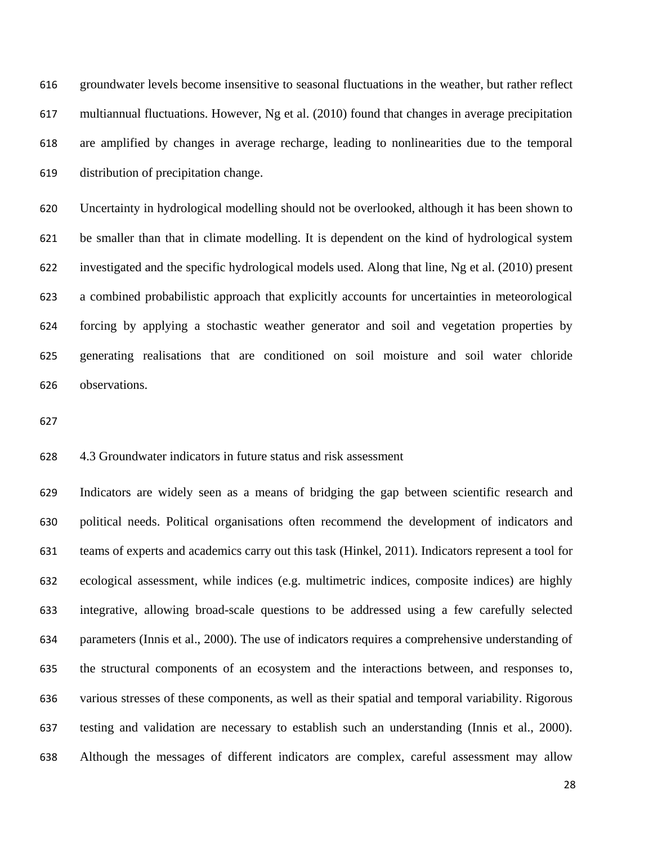groundwater levels become insensitive to seasonal fluctuations in the weather, but rather reflect multiannual fluctuations. However, Ng et al. (2010) found that changes in average precipitation are amplified by changes in average recharge, leading to nonlinearities due to the temporal distribution of precipitation change.

 Uncertainty in hydrological modelling should not be overlooked, although it has been shown to be smaller than that in climate modelling. It is dependent on the kind of hydrological system investigated and the specific hydrological models used. Along that line, Ng et al. (2010) present a combined probabilistic approach that explicitly accounts for uncertainties in meteorological forcing by applying a stochastic weather generator and soil and vegetation properties by generating realisations that are conditioned on soil moisture and soil water chloride observations.

# 4.3 Groundwater indicators in future status and risk assessment

 Indicators are widely seen as a means of bridging the gap between scientific research and political needs. Political organisations often recommend the development of indicators and teams of experts and academics carry out this task (Hinkel, 2011). Indicators represent a tool for ecological assessment, while indices (e.g. multimetric indices, composite indices) are highly integrative, allowing broad-scale questions to be addressed using a few carefully selected parameters (Innis et al., 2000). The use of indicators requires a comprehensive understanding of the structural components of an ecosystem and the interactions between, and responses to, various stresses of these components, as well as their spatial and temporal variability. Rigorous testing and validation are necessary to establish such an understanding (Innis et al., 2000). Although the messages of different indicators are complex, careful assessment may allow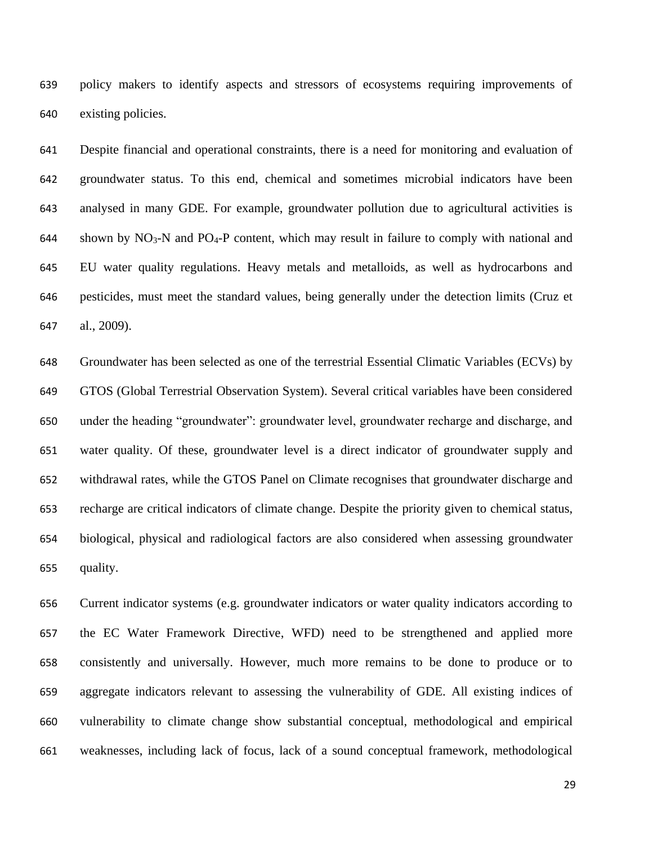policy makers to identify aspects and stressors of ecosystems requiring improvements of existing policies.

 Despite financial and operational constraints, there is a need for monitoring and evaluation of groundwater status. To this end, chemical and sometimes microbial indicators have been analysed in many GDE. For example, groundwater pollution due to agricultural activities is 644 shown by  $NO_3$ -N and  $PO_4$ -P content, which may result in failure to comply with national and EU water quality regulations. Heavy metals and metalloids, as well as hydrocarbons and pesticides, must meet the standard values, being generally under the detection limits (Cruz et al., 2009).

 Groundwater has been selected as one of the terrestrial Essential Climatic Variables (ECVs) by GTOS (Global Terrestrial Observation System). Several critical variables have been considered under the heading "groundwater": groundwater level, groundwater recharge and discharge, and water quality. Of these, groundwater level is a direct indicator of groundwater supply and withdrawal rates, while the GTOS Panel on Climate recognises that groundwater discharge and recharge are critical indicators of climate change. Despite the priority given to chemical status, biological, physical and radiological factors are also considered when assessing groundwater quality.

 Current indicator systems (e.g. groundwater indicators or water quality indicators according to the EC Water Framework Directive, WFD) need to be strengthened and applied more consistently and universally. However, much more remains to be done to produce or to aggregate indicators relevant to assessing the vulnerability of GDE. All existing indices of vulnerability to climate change show substantial conceptual, methodological and empirical weaknesses, including lack of focus, lack of a sound conceptual framework, methodological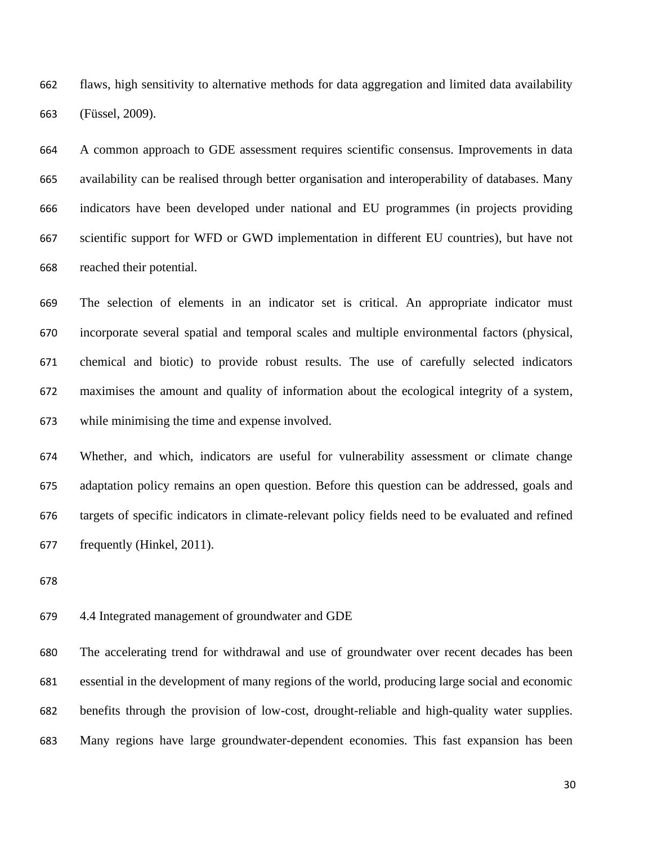flaws, high sensitivity to alternative methods for data aggregation and limited data availability (Füssel, 2009).

 A common approach to GDE assessment requires scientific consensus. Improvements in data availability can be realised through better organisation and interoperability of databases. Many indicators have been developed under national and EU programmes (in projects providing scientific support for WFD or GWD implementation in different EU countries), but have not reached their potential.

 The selection of elements in an indicator set is critical. An appropriate indicator must incorporate several spatial and temporal scales and multiple environmental factors (physical, chemical and biotic) to provide robust results. The use of carefully selected indicators maximises the amount and quality of information about the ecological integrity of a system, while minimising the time and expense involved.

 Whether, and which, indicators are useful for vulnerability assessment or climate change adaptation policy remains an open question. Before this question can be addressed, goals and targets of specific indicators in climate-relevant policy fields need to be evaluated and refined frequently (Hinkel, 2011).

## 4.4 Integrated management of groundwater and GDE

 The accelerating trend for withdrawal and use of groundwater over recent decades has been essential in the development of many regions of the world, producing large social and economic benefits through the provision of low-cost, drought-reliable and high-quality water supplies. Many regions have large groundwater-dependent economies. This fast expansion has been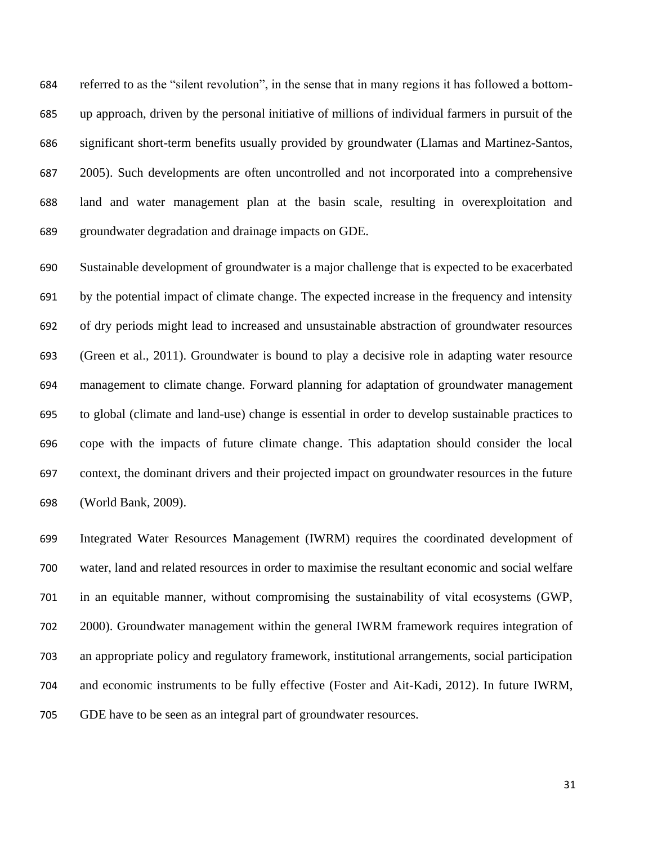referred to as the "silent revolution", in the sense that in many regions it has followed a bottom- up approach, driven by the personal initiative of millions of individual farmers in pursuit of the significant short-term benefits usually provided by groundwater (Llamas and Martinez-Santos, 2005). Such developments are often uncontrolled and not incorporated into a comprehensive land and water management plan at the basin scale, resulting in overexploitation and groundwater degradation and drainage impacts on GDE.

 Sustainable development of groundwater is a major challenge that is expected to be exacerbated by the potential impact of climate change. The expected increase in the frequency and intensity of dry periods might lead to increased and unsustainable abstraction of groundwater resources (Green et al., 2011). Groundwater is bound to play a decisive role in adapting water resource management to climate change. Forward planning for adaptation of groundwater management to global (climate and land-use) change is essential in order to develop sustainable practices to cope with the impacts of future climate change. This adaptation should consider the local context, the dominant drivers and their projected impact on groundwater resources in the future (World Bank, 2009).

 Integrated Water Resources Management (IWRM) requires the coordinated development of water, land and related resources in order to maximise the resultant economic and social welfare in an equitable manner, without compromising the sustainability of vital ecosystems (GWP, 2000). Groundwater management within the general IWRM framework requires integration of an appropriate policy and regulatory framework, institutional arrangements, social participation and economic instruments to be fully effective (Foster and Ait-Kadi, 2012). In future IWRM, GDE have to be seen as an integral part of groundwater resources.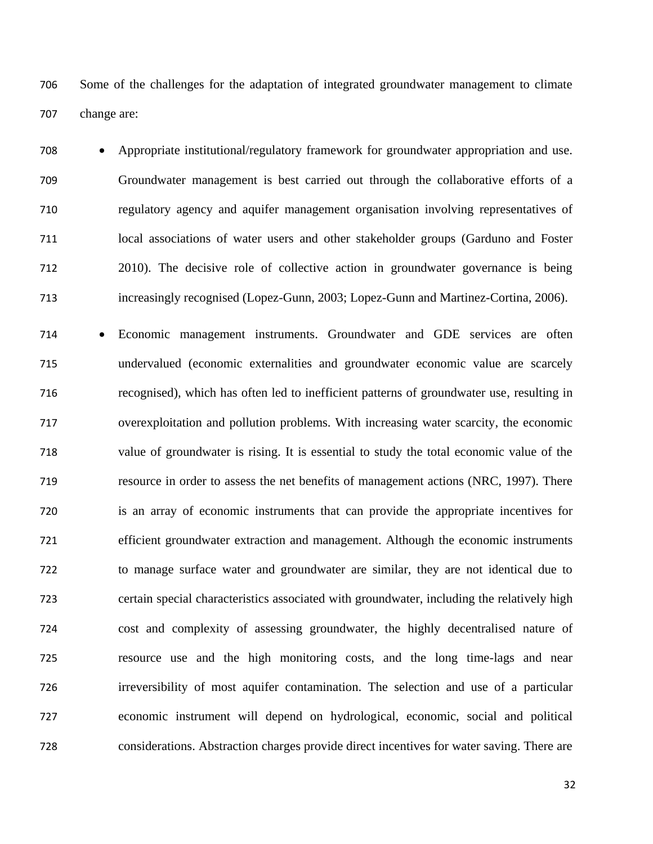Some of the challenges for the adaptation of integrated groundwater management to climate change are:

 Appropriate institutional/regulatory framework for groundwater appropriation and use. Groundwater management is best carried out through the collaborative efforts of a regulatory agency and aquifer management organisation involving representatives of local associations of water users and other stakeholder groups (Garduno and Foster 2010). The decisive role of collective action in groundwater governance is being increasingly recognised (Lopez-Gunn, 2003; Lopez-Gunn and Martinez-Cortina, 2006).

 Economic management instruments. Groundwater and GDE services are often undervalued (economic externalities and groundwater economic value are scarcely recognised), which has often led to inefficient patterns of groundwater use, resulting in overexploitation and pollution problems. With increasing water scarcity, the economic value of groundwater is rising. It is essential to study the total economic value of the resource in order to assess the net benefits of management actions (NRC, 1997). There is an array of economic instruments that can provide the appropriate incentives for efficient groundwater extraction and management. Although the economic instruments to manage surface water and groundwater are similar, they are not identical due to certain special characteristics associated with groundwater, including the relatively high cost and complexity of assessing groundwater, the highly decentralised nature of resource use and the high monitoring costs, and the long time-lags and near irreversibility of most aquifer contamination. The selection and use of a particular economic instrument will depend on hydrological, economic, social and political considerations. Abstraction charges provide direct incentives for water saving. There are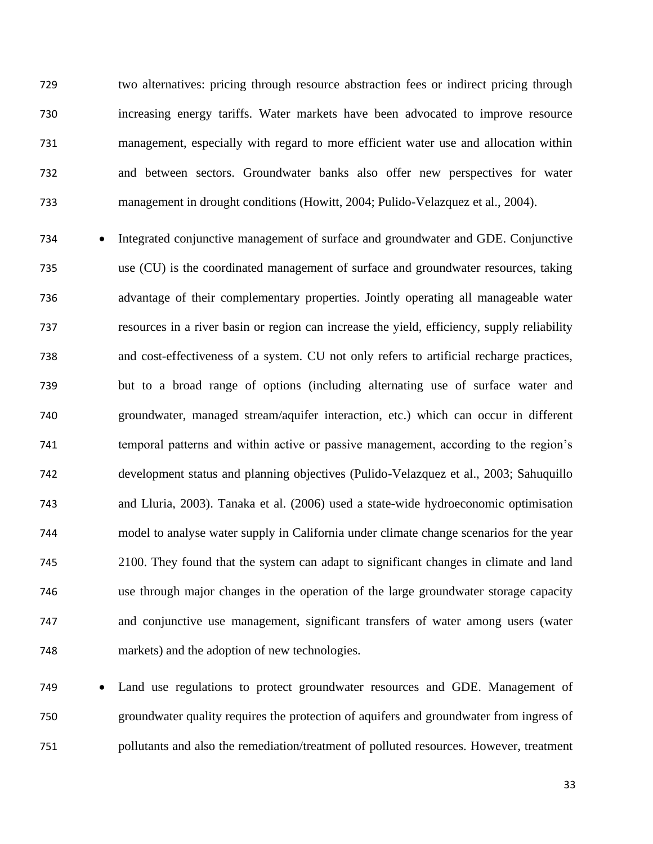two alternatives: pricing through resource abstraction fees or indirect pricing through increasing energy tariffs. Water markets have been advocated to improve resource management, especially with regard to more efficient water use and allocation within and between sectors. Groundwater banks also offer new perspectives for water management in drought conditions (Howitt, 2004; Pulido-Velazquez et al., 2004).

734 • Integrated conjunctive management of surface and groundwater and GDE. Conjunctive use (CU) is the coordinated management of surface and groundwater resources, taking advantage of their complementary properties. Jointly operating all manageable water resources in a river basin or region can increase the yield, efficiency, supply reliability and cost-effectiveness of a system. CU not only refers to artificial recharge practices, but to a broad range of options (including alternating use of surface water and groundwater, managed stream/aquifer interaction, etc.) which can occur in different temporal patterns and within active or passive management, according to the region's development status and planning objectives (Pulido-Velazquez et al., 2003; Sahuquillo and Lluria, 2003). Tanaka et al. (2006) used a state-wide hydroeconomic optimisation model to analyse water supply in California under climate change scenarios for the year 2100. They found that the system can adapt to significant changes in climate and land use through major changes in the operation of the large groundwater storage capacity and conjunctive use management, significant transfers of water among users (water markets) and the adoption of new technologies.

 Land use regulations to protect groundwater resources and GDE. Management of groundwater quality requires the protection of aquifers and groundwater from ingress of pollutants and also the remediation/treatment of polluted resources. However, treatment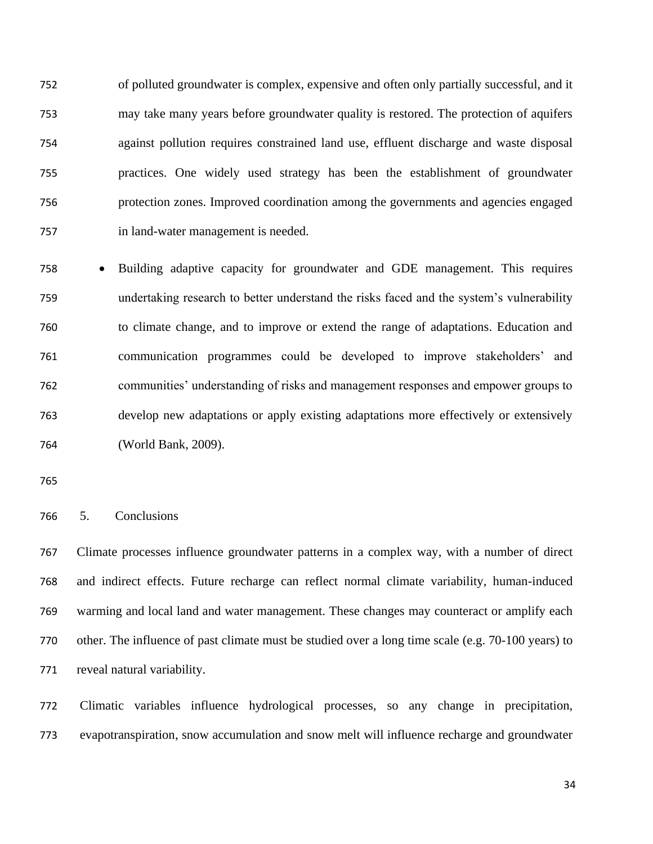of polluted groundwater is complex, expensive and often only partially successful, and it may take many years before groundwater quality is restored. The protection of aquifers against pollution requires constrained land use, effluent discharge and waste disposal practices. One widely used strategy has been the establishment of groundwater protection zones. Improved coordination among the governments and agencies engaged in land-water management is needed.

 Building adaptive capacity for groundwater and GDE management. This requires undertaking research to better understand the risks faced and the system's vulnerability to climate change, and to improve or extend the range of adaptations. Education and communication programmes could be developed to improve stakeholders' and communities' understanding of risks and management responses and empower groups to develop new adaptations or apply existing adaptations more effectively or extensively (World Bank, 2009).

5. Conclusions

 Climate processes influence groundwater patterns in a complex way, with a number of direct and indirect effects. Future recharge can reflect normal climate variability, human-induced warming and local land and water management. These changes may counteract or amplify each other. The influence of past climate must be studied over a long time scale (e.g. 70-100 years) to reveal natural variability.

 Climatic variables influence hydrological processes, so any change in precipitation, evapotranspiration, snow accumulation and snow melt will influence recharge and groundwater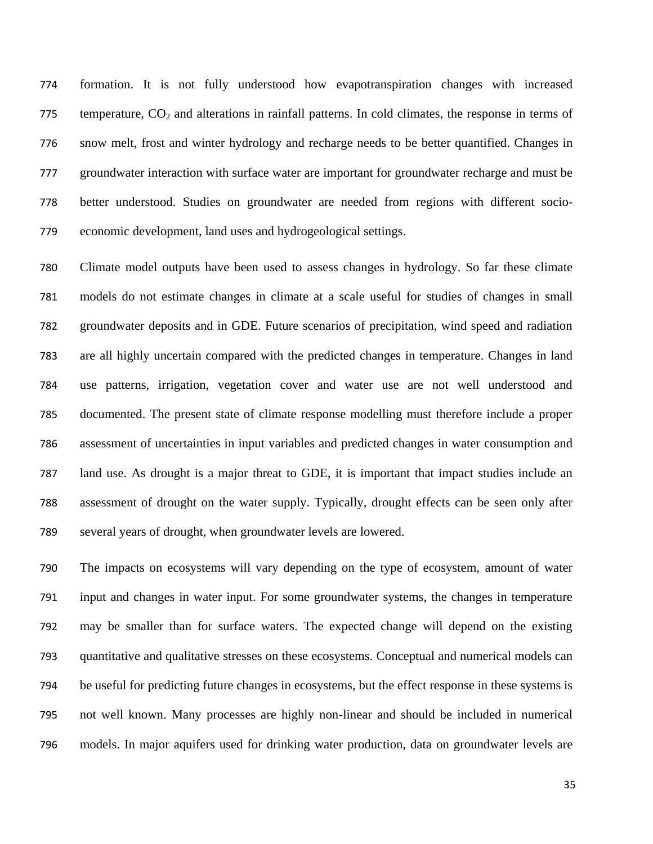formation. It is not fully understood how evapotranspiration changes with increased temperature,  $CO<sub>2</sub>$  and alterations in rainfall patterns. In cold climates, the response in terms of snow melt, frost and winter hydrology and recharge needs to be better quantified. Changes in groundwater interaction with surface water are important for groundwater recharge and must be better understood. Studies on groundwater are needed from regions with different socio-economic development, land uses and hydrogeological settings.

 Climate model outputs have been used to assess changes in hydrology. So far these climate models do not estimate changes in climate at a scale useful for studies of changes in small groundwater deposits and in GDE. Future scenarios of precipitation, wind speed and radiation are all highly uncertain compared with the predicted changes in temperature. Changes in land use patterns, irrigation, vegetation cover and water use are not well understood and documented. The present state of climate response modelling must therefore include a proper assessment of uncertainties in input variables and predicted changes in water consumption and land use. As drought is a major threat to GDE, it is important that impact studies include an assessment of drought on the water supply. Typically, drought effects can be seen only after several years of drought, when groundwater levels are lowered.

 The impacts on ecosystems will vary depending on the type of ecosystem, amount of water input and changes in water input. For some groundwater systems, the changes in temperature may be smaller than for surface waters. The expected change will depend on the existing quantitative and qualitative stresses on these ecosystems. Conceptual and numerical models can be useful for predicting future changes in ecosystems, but the effect response in these systems is not well known. Many processes are highly non-linear and should be included in numerical models. In major aquifers used for drinking water production, data on groundwater levels are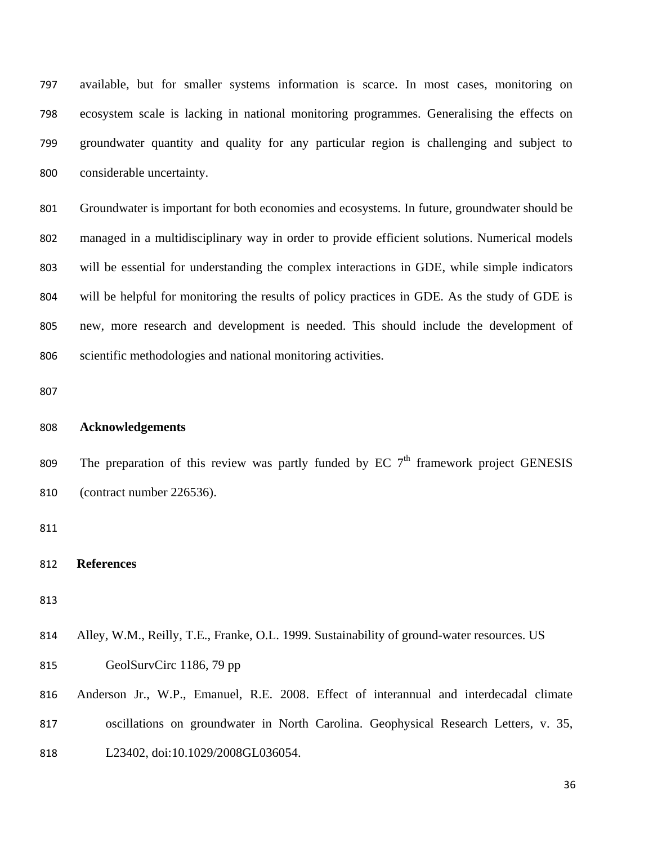available, but for smaller systems information is scarce. In most cases, monitoring on ecosystem scale is lacking in national monitoring programmes. Generalising the effects on groundwater quantity and quality for any particular region is challenging and subject to considerable uncertainty.

 Groundwater is important for both economies and ecosystems. In future, groundwater should be managed in a multidisciplinary way in order to provide efficient solutions. Numerical models will be essential for understanding the complex interactions in GDE, while simple indicators will be helpful for monitoring the results of policy practices in GDE. As the study of GDE is new, more research and development is needed. This should include the development of scientific methodologies and national monitoring activities.

## **Acknowledgements**

809 The preparation of this review was partly funded by EC  $7<sup>th</sup>$  framework project GENESIS (contract number 226536).

# **References**

- Alley, W.M., Reilly, T.E., Franke, O.L. 1999. Sustainability of ground-water resources. US
- GeolSurvCirc 1186, 79 pp
- Anderson Jr., W.P., Emanuel, R.E. 2008. Effect of interannual and interdecadal climate oscillations on groundwater in North Carolina. Geophysical Research Letters, v. 35, 818 L23402, doi:10.1029/2008GL036054.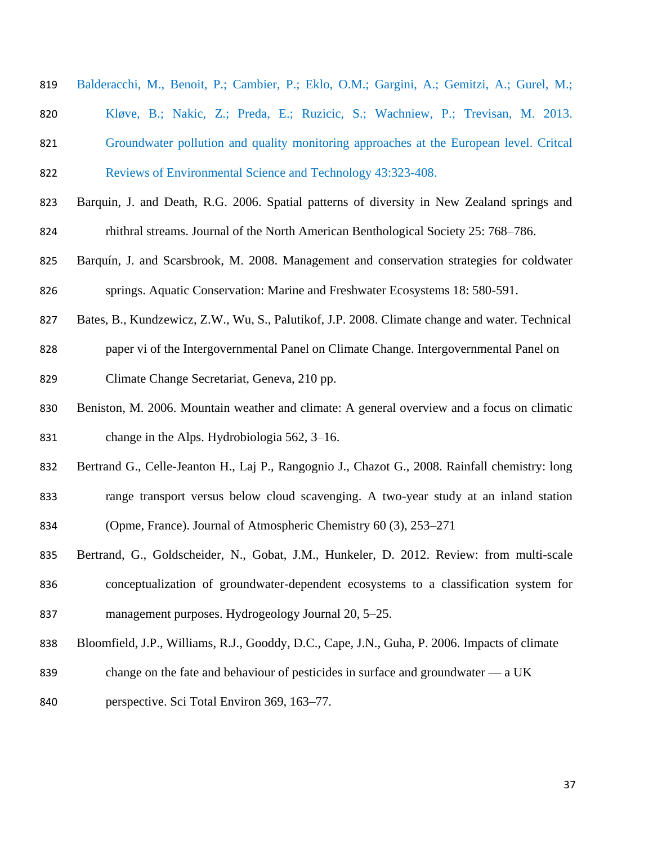| 819 | Balderacchi, M., Benoit, P.; Cambier, P.; Eklo, O.M.; Gargini, A.; Gemitzi, A.; Gurel, M.;     |
|-----|------------------------------------------------------------------------------------------------|
| 820 | Kløve, B.; Nakic, Z.; Preda, E.; Ruzicic, S.; Wachniew, P.; Trevisan, M. 2013.                 |
| 821 | Groundwater pollution and quality monitoring approaches at the European level. Critcal         |
| 822 | Reviews of Environmental Science and Technology 43:323-408.                                    |
| 823 | Barquin, J. and Death, R.G. 2006. Spatial patterns of diversity in New Zealand springs and     |
| 824 | rhithral streams. Journal of the North American Benthological Society 25: 768–786.             |
| 825 | Barquín, J. and Scarsbrook, M. 2008. Management and conservation strategies for coldwater      |
| 826 | springs. Aquatic Conservation: Marine and Freshwater Ecosystems 18: 580-591.                   |
| 827 | Bates, B., Kundzewicz, Z.W., Wu, S., Palutikof, J.P. 2008. Climate change and water. Technical |
| 828 | paper vi of the Intergovernmental Panel on Climate Change. Intergovernmental Panel on          |
| 829 | Climate Change Secretariat, Geneva, 210 pp.                                                    |
| 830 | Beniston, M. 2006. Mountain weather and climate: A general overview and a focus on climatic    |
| 831 | change in the Alps. Hydrobiologia 562, 3–16.                                                   |
| 832 | Bertrand G., Celle-Jeanton H., Laj P., Rangognio J., Chazot G., 2008. Rainfall chemistry: long |
| 833 | range transport versus below cloud scavenging. A two-year study at an inland station           |
| 834 | (Opme, France). Journal of Atmospheric Chemistry 60 (3), 253–271                               |
| 835 | Bertrand, G., Goldscheider, N., Gobat, J.M., Hunkeler, D. 2012. Review: from multi-scale       |
| 836 | conceptualization of groundwater-dependent ecosystems to a classification system for           |
| 837 | management purposes. Hydrogeology Journal 20, 5–25.                                            |
| 838 | Bloomfield, J.P., Williams, R.J., Gooddy, D.C., Cape, J.N., Guha, P. 2006. Impacts of climate  |
| 839 | change on the fate and behaviour of pesticides in surface and groundwater $-$ a UK             |

perspective. Sci Total Environ 369, 163–77.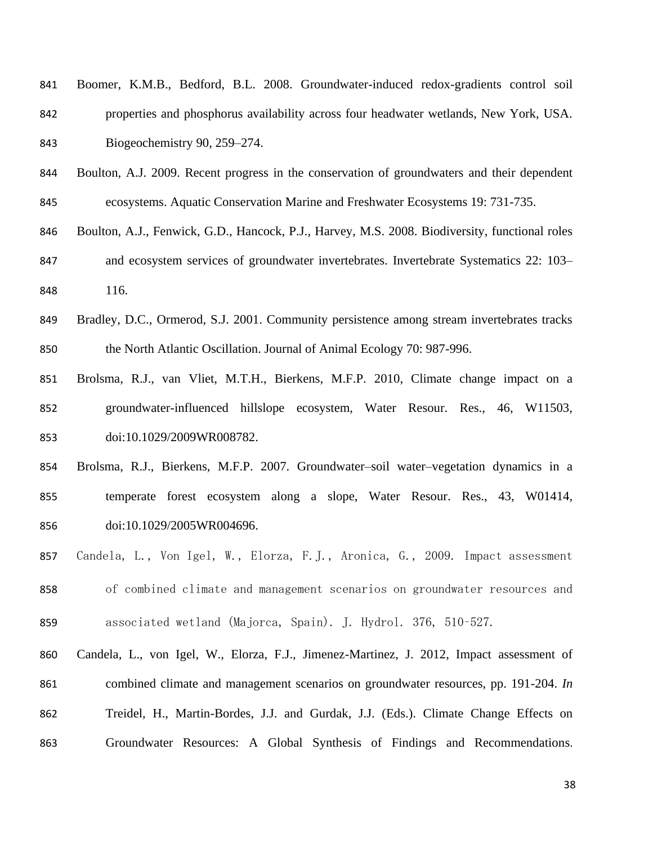| 841 | Boomer, K.M.B., Bedford, B.L. 2008. Groundwater-induced redox-gradients control soil  |
|-----|---------------------------------------------------------------------------------------|
| 842 | properties and phosphorus availability across four headwater wetlands, New York, USA. |
| 843 | Biogeochemistry 90, $259-274$ .                                                       |

Boulton, A.J. 2009. Recent progress in the conservation of groundwaters and their dependent

ecosystems. Aquatic Conservation Marine and Freshwater Ecosystems 19: 731-735.

- Boulton, A.J., Fenwick, G.D., Hancock, P.J., Harvey, M.S. 2008. Biodiversity, functional roles 847 and ecosystem services of groundwater invertebrates. Invertebrate Systematics 22: 103– 116.
- Bradley, D.C., Ormerod, S.J. 2001. Community persistence among stream invertebrates tracks the North Atlantic Oscillation. Journal of Animal Ecology 70: 987-996.
- Brolsma, R.J., van Vliet, M.T.H., Bierkens, M.F.P. 2010, Climate change impact on a groundwater-influenced hillslope ecosystem, Water Resour. Res., 46, W11503, doi:10.1029/2009WR008782.
- Brolsma, R.J., Bierkens, M.F.P. 2007. Groundwater–soil water–vegetation dynamics in a temperate forest ecosystem along a slope, Water Resour. Res., 43, W01414, doi:10.1029/2005WR004696.
- Candela, L., Von Igel, W., Elorza, F.J., Aronica, G., 2009. Impact assessment of combined climate and management scenarios on groundwater resources and associated wetland (Majorca, Spain). J. Hydrol. 376, 510–527.
- Candela, L., von Igel, W., Elorza, F.J., Jimenez-Martinez, J. 2012, Impact assessment of combined climate and management scenarios on groundwater resources, pp. 191-204. *In* Treidel, H., Martin-Bordes, J.J. and Gurdak, J.J. (Eds.). [Climate Change Effects on](http://www.amazon.com/Climate-Change-Effects-Groundwater-Resources/dp/0415689368/ref=sr_1_3?s=books&ie=UTF8&qid=1309978084&sr=1-3)  [Groundwater Resources: A Global Synthesis of Findings and Recommendations](http://www.amazon.com/Climate-Change-Effects-Groundwater-Resources/dp/0415689368/ref=sr_1_3?s=books&ie=UTF8&qid=1309978084&sr=1-3).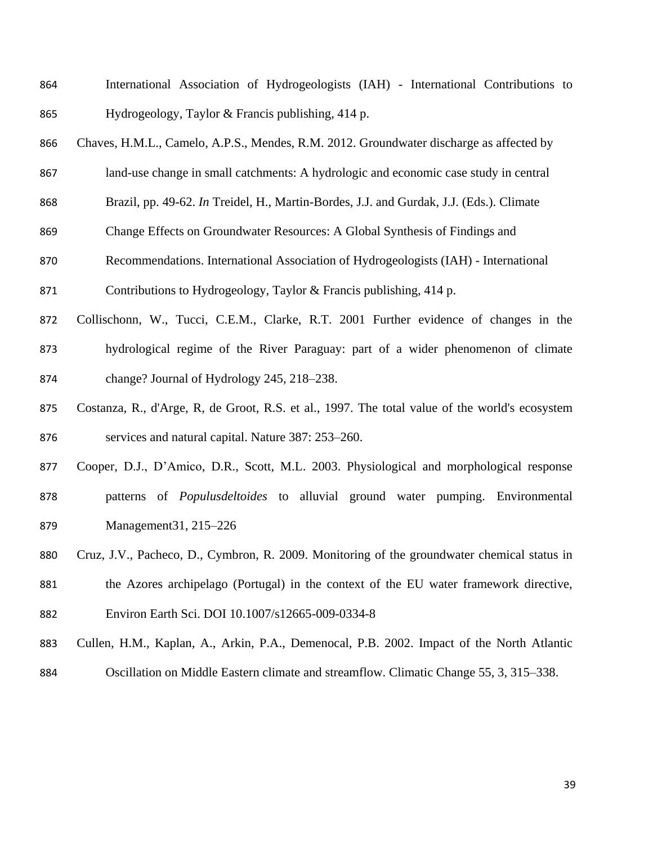- International Association of Hydrogeologists (IAH) International Contributions to Hydrogeology, Taylor & Francis publishing, 414 p.
- Chaves, H.M.L., Camelo, A.P.S., Mendes, R.M. 2012. Groundwater discharge as affected by
- land-use change in small catchments: A hydrologic and economic case study in central
- Brazil, pp. 49-62. *In* Treidel, H., Martin-Bordes, J.J. and Gurdak, J.J. (Eds.). [Climate](http://www.amazon.com/Climate-Change-Effects-Groundwater-Resources/dp/0415689368/ref=sr_1_3?s=books&ie=UTF8&qid=1309978084&sr=1-3)
- [Change Effects on Groundwater Resources: A Global Synthesis of Findings and](http://www.amazon.com/Climate-Change-Effects-Groundwater-Resources/dp/0415689368/ref=sr_1_3?s=books&ie=UTF8&qid=1309978084&sr=1-3)
- [Recommendations](http://www.amazon.com/Climate-Change-Effects-Groundwater-Resources/dp/0415689368/ref=sr_1_3?s=books&ie=UTF8&qid=1309978084&sr=1-3). International Association of Hydrogeologists (IAH) International

Contributions to Hydrogeology, Taylor & Francis publishing, 414 p.

- Collischonn, W., Tucci, C.E.M., Clarke, R.T. 2001 Further evidence of changes in the hydrological regime of the River Paraguay: part of a wider phenomenon of climate change? Journal of Hydrology 245, 218–238.
- Costanza, R., d'Arge, R, de Groot, R.S. et al., 1997. The total value of the world's ecosystem services and natural capital. Nature 387: 253–260.
- Cooper, D.J., D'Amico, D.R., Scott, M.L. 2003. Physiological and morphological response patterns of *Populusdeltoides* to alluvial ground water pumping. Environmental Management31, 215–226
- Cruz, J.V., Pacheco, D., Cymbron, R. 2009. Monitoring of the groundwater chemical status in
- the Azores archipelago (Portugal) in the context of the EU water framework directive,
- Environ Earth Sci. DOI 10.1007/s12665-009-0334-8
- Cullen, H.M., Kaplan, A., Arkin, P.A., Demenocal, P.B. 2002. Impact of the North Atlantic
- Oscillation on Middle Eastern climate and streamflow. Climatic Change 55, 3, 315–338.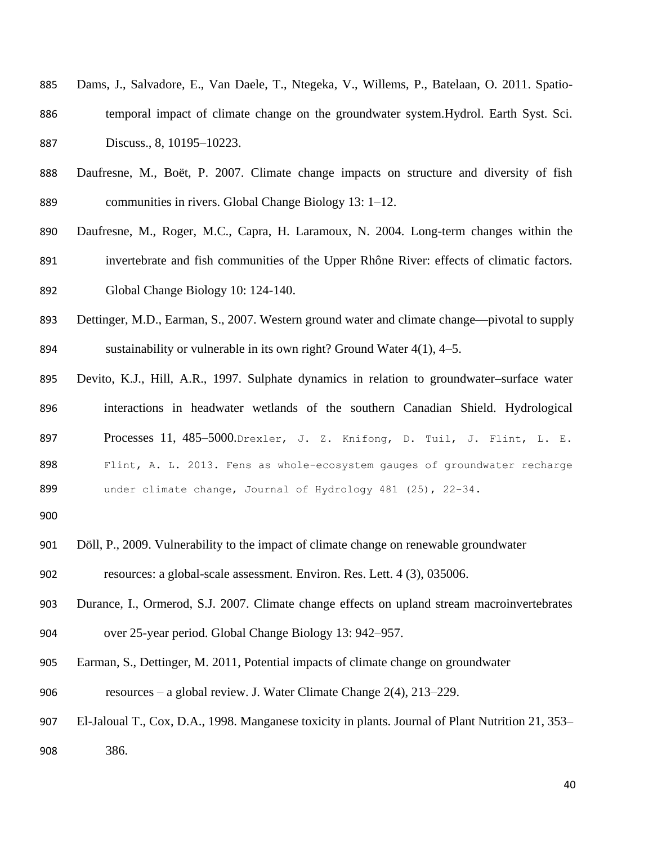- Dams, J., Salvadore, E., Van Daele, T., Ntegeka, V., Willems, P., Batelaan, O. 2011. Spatio- temporal impact of climate change on the groundwater system.Hydrol. Earth Syst. Sci. Discuss., 8, 10195–10223.
- Daufresne, M., Boët, P. 2007. Climate change impacts on structure and diversity of fish communities in rivers. Global Change Biology 13: 1–12.
- Daufresne, M., Roger, M.C., Capra, H. Laramoux, N. 2004. Long-term changes within the invertebrate and fish communities of the Upper Rhône River: effects of climatic factors. Global Change Biology 10: 124-140.
- Dettinger, M.D., Earman, S., 2007. Western ground water and climate change—pivotal to supply sustainability or vulnerable in its own right? Ground Water 4(1), 4–5.
- Devito, K.J., Hill, A.R., 1997. Sulphate dynamics in relation to groundwater–surface water interactions in headwater wetlands of the southern Canadian Shield. Hydrological 897 Processes 11, 485-5000. Drexler, J. Z. Knifong, D. Tuil, J. Flint, L. E. Flint, A. L. 2013. Fens as whole-ecosystem gauges of groundwater recharge under climate change, Journal of Hydrology 481 (25), 22-34.
- 
- Döll, P., 2009. Vulnerability to the impact of climate change on renewable groundwater
- resources: a global-scale assessment. Environ. Res. Lett. 4 (3), 035006.
- Durance, I., Ormerod, S.J. 2007. Climate change effects on upland stream macroinvertebrates over 25-year period. Global Change Biology 13: 942–957.
- Earman, S., Dettinger, M. 2011, Potential impacts of climate change on groundwater
- resources a global review. J. Water Climate Change 2(4), 213–229.
- El-Jaloual T., Cox, D.A., 1998. Manganese toxicity in plants. Journal of Plant Nutrition 21, 353– 386.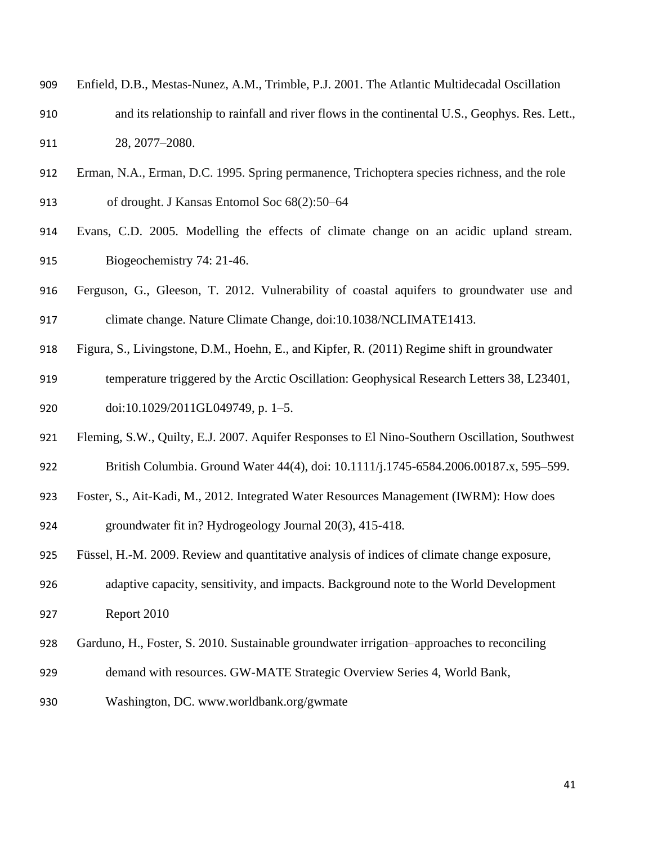- Enfield, D.B., Mestas-Nunez, A.M., Trimble, P.J. 2001. The Atlantic Multidecadal Oscillation and its relationship to rainfall and river flows in the continental U.S., Geophys. Res. Lett., 28, 2077–2080.
- Erman, N.A., Erman, D.C. 1995. Spring permanence, Trichoptera species richness, and the role

of drought. J Kansas Entomol Soc 68(2):50–64

- Evans, C.D. 2005. Modelling the effects of climate change on an acidic upland stream. Biogeochemistry 74: 21-46.
- Ferguson, G., Gleeson, T. 2012. Vulnerability of coastal aquifers to groundwater use and climate change. Nature Climate Change, doi:10.1038/NCLIMATE1413.
- Figura, S., Livingstone, D.M., Hoehn, E., and Kipfer, R. (2011) Regime shift in groundwater
- temperature triggered by the Arctic Oscillation: Geophysical Research Letters 38, L23401, doi:10.1029/2011GL049749, p. 1–5.
- Fleming, S.W., Quilty, E.J. 2007. Aquifer Responses to El Nino-Southern Oscillation, Southwest
- British Columbia. Ground Water 44(4), doi: 10.1111/j.1745-6584.2006.00187.x, 595–599.
- Foster, S., Ait-Kadi, M., 2012. Integrated Water Resources Management (IWRM): How does

groundwater fit in? Hydrogeology Journal 20(3), 415-418.

- Füssel, H.-M. 2009. Review and quantitative analysis of indices of climate change exposure,
- adaptive capacity, sensitivity, and impacts. Background note to the World Development Report 2010
- Garduno, H., Foster, S. 2010. Sustainable groundwater irrigation–approaches to reconciling
- demand with resources. GW-MATE Strategic Overview Series 4, World Bank,
- Washington, DC. www.worldbank.org/gwmate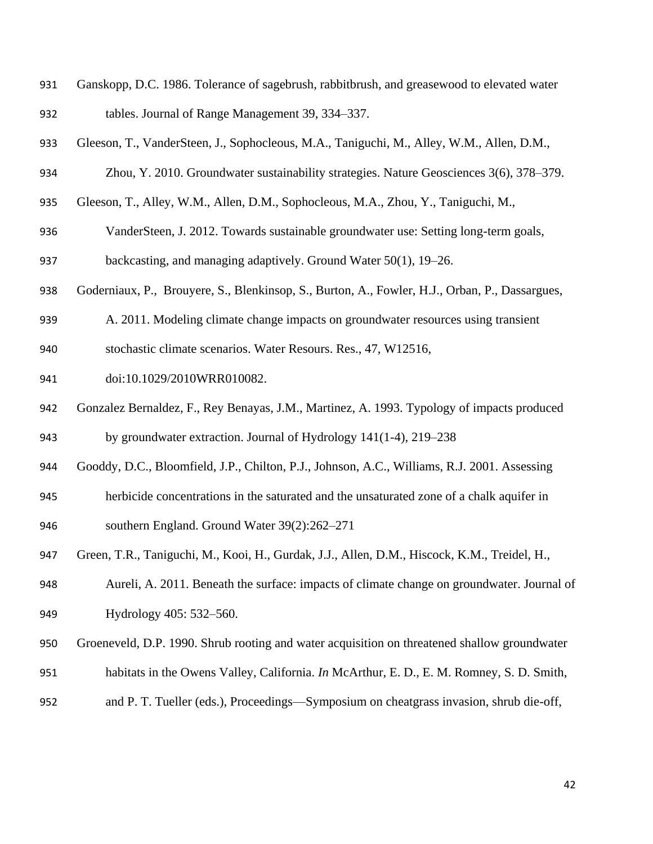- Ganskopp, D.C. 1986. Tolerance of sagebrush, rabbitbrush, and greasewood to elevated water tables. Journal of Range Management 39, 334–337.
- Gleeson, T., VanderSteen, J., Sophocleous, M.A., Taniguchi, M., Alley, W.M., Allen, D.M.,
- Zhou, Y. 2010. Groundwater sustainability strategies. Nature Geosciences 3(6), 378–379.
- Gleeson, T., Alley, W.M., Allen, D.M., Sophocleous, M.A., Zhou, Y., Taniguchi, M.,
- VanderSteen, J. 2012. Towards sustainable groundwater use: Setting long-term goals,
- backcasting, and managing adaptively. Ground Water 50(1), 19–26.
- Goderniaux, P., Brouyere, S., Blenkinsop, S., Burton, A., Fowler, H.J., Orban, P., Dassargues,
- A. 2011. Modeling climate change impacts on groundwater resources using transient
- stochastic climate scenarios. Water Resours. Res., 47, W12516,
- doi:10.1029/2010WRR010082.
- Gonzalez Bernaldez, F., Rey Benayas, J.M., Martinez, A. 1993. Typology of impacts produced by groundwater extraction. Journal of Hydrology 141(1-4), 219–238
- Gooddy, D.C., Bloomfield, J.P., Chilton, P.J., Johnson, A.C., Williams, R.J. 2001. Assessing
- herbicide concentrations in the saturated and the unsaturated zone of a chalk aquifer in southern England. Ground Water 39(2):262–271
- Green, T.R., Taniguchi, M., Kooi, H., Gurdak, J.J., Allen, D.M., Hiscock, K.M., Treidel, H.,
- Aureli, A. 2011. Beneath the surface: impacts of climate change on groundwater. Journal of Hydrology 405: 532–560.
- Groeneveld, D.P. 1990. Shrub rooting and water acquisition on threatened shallow groundwater
- habitats in the Owens Valley, California. *In* McArthur, E. D., E. M. Romney, S. D. Smith,
- and P. T. Tueller (eds.), Proceedings—Symposium on cheatgrass invasion, shrub die-off,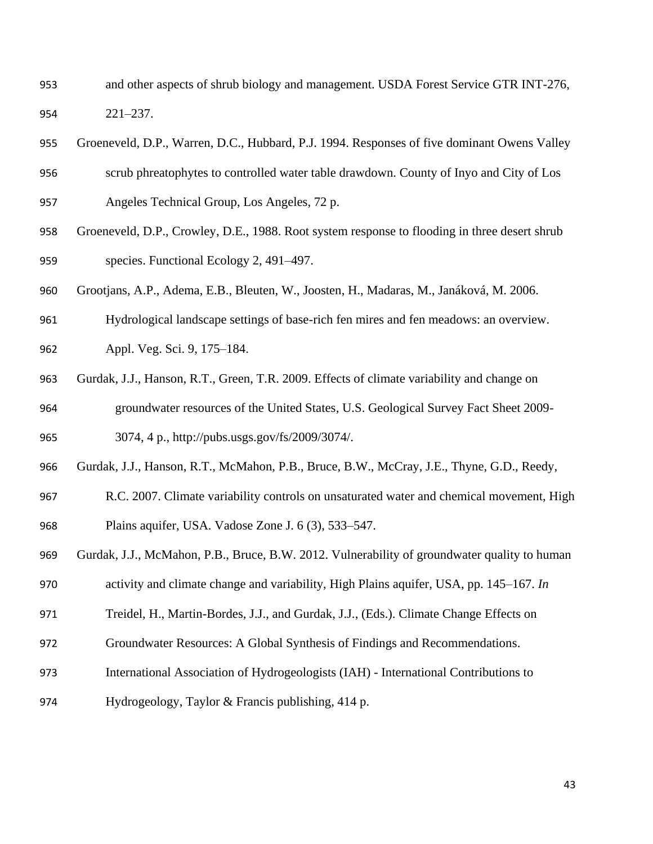- and other aspects of shrub biology and management. USDA Forest Service GTR INT-276, 221–237.
- Groeneveld, D.P., Warren, D.C., Hubbard, P.J. 1994. Responses of five dominant Owens Valley
- scrub phreatophytes to controlled water table drawdown. County of Inyo and City of Los
- Angeles Technical Group, Los Angeles, 72 p.
- Groeneveld, D.P., Crowley, D.E., 1988. Root system response to flooding in three desert shrub species. Functional Ecology 2, 491–497.
- Grootjans, A.P., Adema, E.B., Bleuten, W., Joosten, H., Madaras, M., Janáková, M. 2006.
- Hydrological landscape settings of base-rich fen mires and fen meadows: an overview.
- Appl. Veg. Sci. 9, 175–184.
- Gurdak, J.J., Hanson, R.T., Green, T.R. 2009. Effects of climate variability and change on groundwater resources of the United States, U.S. Geological Survey Fact Sheet 2009- 3074, 4 p., http://pubs.usgs.gov/fs/2009/3074/.
- Gurdak, J.J., Hanson, R.T., McMahon, P.B., Bruce, B.W., McCray, J.E., Thyne, G.D., Reedy,
- R.C. 2007. Climate variability controls on unsaturated water and chemical movement, High Plains aquifer, USA. Vadose Zone J. 6 (3), 533–547.
- Gurdak, J.J., McMahon, P.B., Bruce, B.W. 2012. Vulnerability of groundwater quality to human
- activity and climate change and variability, High Plains aquifer, USA, pp. 145–167. *In*
- Treidel, H., Martin-Bordes, J.J., and Gurdak, J.J., (Eds.). [Climate Change Effects on](http://www.amazon.com/Climate-Change-Effects-Groundwater-Resources/dp/0415689368/ref=sr_1_3?s=books&ie=UTF8&qid=1309978084&sr=1-3)
- [Groundwater Resources: A Global Synthesis of Findings and Recommendations](http://www.amazon.com/Climate-Change-Effects-Groundwater-Resources/dp/0415689368/ref=sr_1_3?s=books&ie=UTF8&qid=1309978084&sr=1-3).
- International Association of Hydrogeologists (IAH) International Contributions to
- Hydrogeology, Taylor & Francis publishing, 414 p.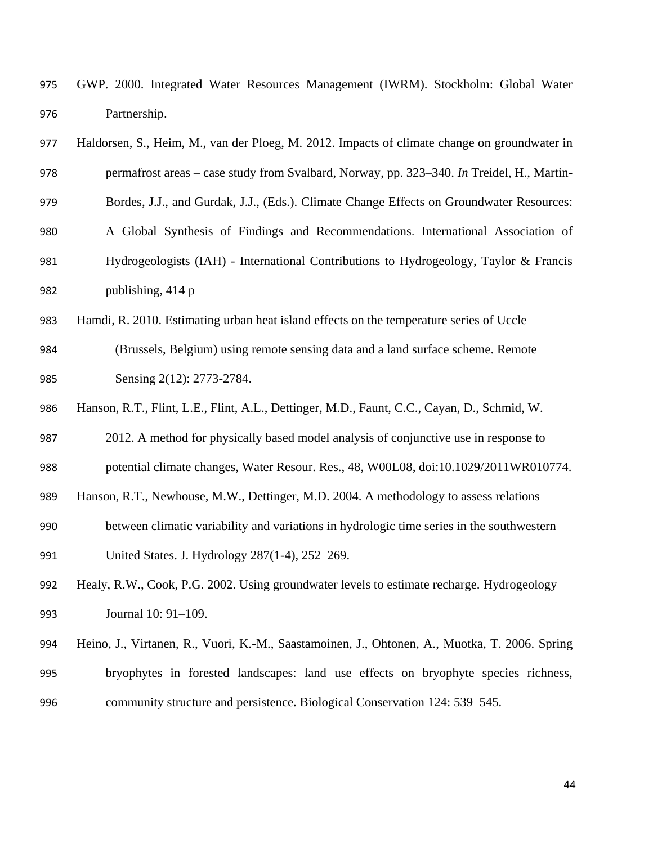GWP. 2000. Integrated Water Resources Management (IWRM). Stockholm: Global Water Partnership.

| 977 | Haldorsen, S., Heim, M., van der Ploeg, M. 2012. Impacts of climate change on groundwater in |
|-----|----------------------------------------------------------------------------------------------|
| 978 | permafrost areas – case study from Svalbard, Norway, pp. 323–340. In Treidel, H., Martin-    |
| 979 | Bordes, J.J., and Gurdak, J.J., (Eds.). Climate Change Effects on Groundwater Resources:     |
| 980 | A Global Synthesis of Findings and Recommendations. International Association of             |
| 981 | Hydrogeologists (IAH) - International Contributions to Hydrogeology, Taylor & Francis        |
| 982 | publishing, 414 p                                                                            |

Hamdi, R. 2010. Estimating urban heat island effects on the temperature series of Uccle

 (Brussels, Belgium) using remote sensing data and a land surface scheme. Remote Sensing 2(12): 2773-2784.

Hanson, R.T., Flint, L.E., Flint, A.L., Dettinger, M.D., Faunt, C.C., Cayan, D., Schmid, W.

2012. A method for physically based model analysis of conjunctive use in response to

potential climate changes, Water Resour. Res., 48, W00L08, doi:10.1029/2011WR010774.

Hanson, R.T., Newhouse, M.W., Dettinger, M.D. 2004. A methodology to assess relations

 between climatic variability and variations in hydrologic time series in the southwestern United States. J. Hydrology 287(1-4), 252–269.

 Healy, R.W., Cook, P.G. 2002. Using groundwater levels to estimate recharge. Hydrogeology Journal 10: 91–109.

 Heino, J., Virtanen, R., Vuori, K.-M., Saastamoinen, J., Ohtonen, A., Muotka, T. 2006. Spring bryophytes in forested landscapes: land use effects on bryophyte species richness, community structure and persistence. Biological Conservation 124: 539–545.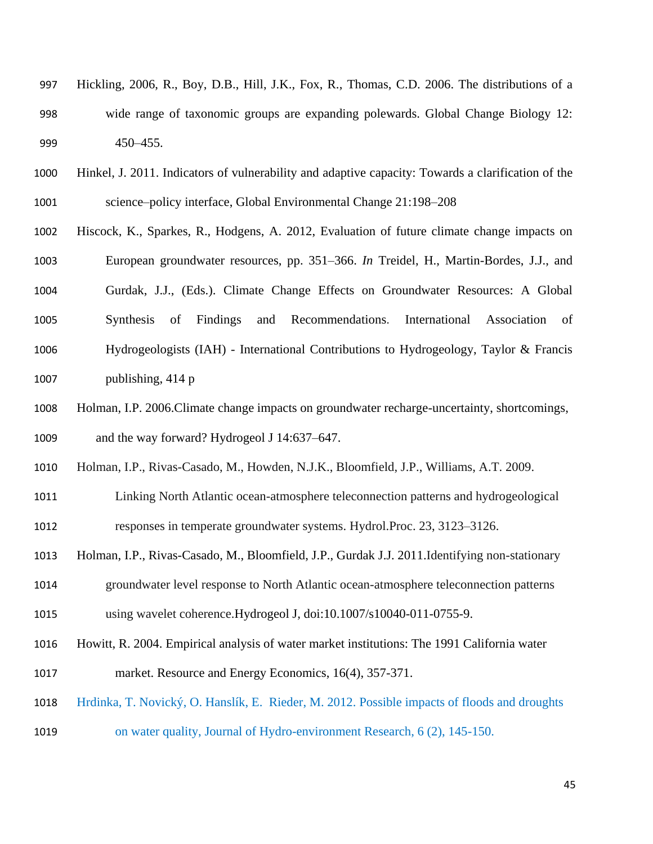- Hickling, 2006, R., Boy, D.B., Hill, J.K., Fox, R., Thomas, C.D. 2006. The distributions of a wide range of taxonomic groups are expanding polewards. Global Change Biology 12: 450–455.
- Hinkel, J. 2011. Indicators of vulnerability and adaptive capacity: Towards a clarification of the science–policy interface, Global Environmental Change 21:198–208
- Hiscock, K., Sparkes, R., Hodgens, A. 2012, Evaluation of future climate change impacts on European groundwater resources, pp. 351–366. *In* Treidel, H., Martin-Bordes, J.J., and Gurdak, J.J., (Eds.). [Climate Change Effects on Groundwater Resources: A Global](http://www.amazon.com/Climate-Change-Effects-Groundwater-Resources/dp/0415689368/ref=sr_1_3?s=books&ie=UTF8&qid=1309978084&sr=1-3)  [Synthesis of Findings and Recommendations](http://www.amazon.com/Climate-Change-Effects-Groundwater-Resources/dp/0415689368/ref=sr_1_3?s=books&ie=UTF8&qid=1309978084&sr=1-3). International Association of Hydrogeologists (IAH) - International Contributions to Hydrogeology, Taylor & Francis publishing, 414 p
- Holman, I.P. 2006.Climate change impacts on groundwater recharge-uncertainty, shortcomings, and the way forward? Hydrogeol J 14:637–647.
- Holman, I.P., Rivas-Casado, M., Howden, N.J.K., Bloomfield, J.P., Williams, A.T. 2009.
- Linking North Atlantic ocean-atmosphere teleconnection patterns and hydrogeological responses in temperate groundwater systems. Hydrol.Proc. 23, 3123–3126.
- Holman, I.P., Rivas-Casado, M., Bloomfield, J.P., Gurdak J.J. 2011.Identifying non-stationary
- groundwater level response to North Atlantic ocean-atmosphere teleconnection patterns
- using wavelet coherence.Hydrogeol J*,* doi:10.1007/s10040-011-0755-9.
- Howitt, R. 2004. Empirical analysis of water market institutions: The 1991 California water
- market. Resource and Energy Economics, 16(4), 357-371.
- Hrdinka, T. Novický, O. Hanslík, E. Rieder, M. 2012. Possible impacts of floods and droughts
- on water quality, Journal of Hydro-environment Research, 6 (2), 145-150.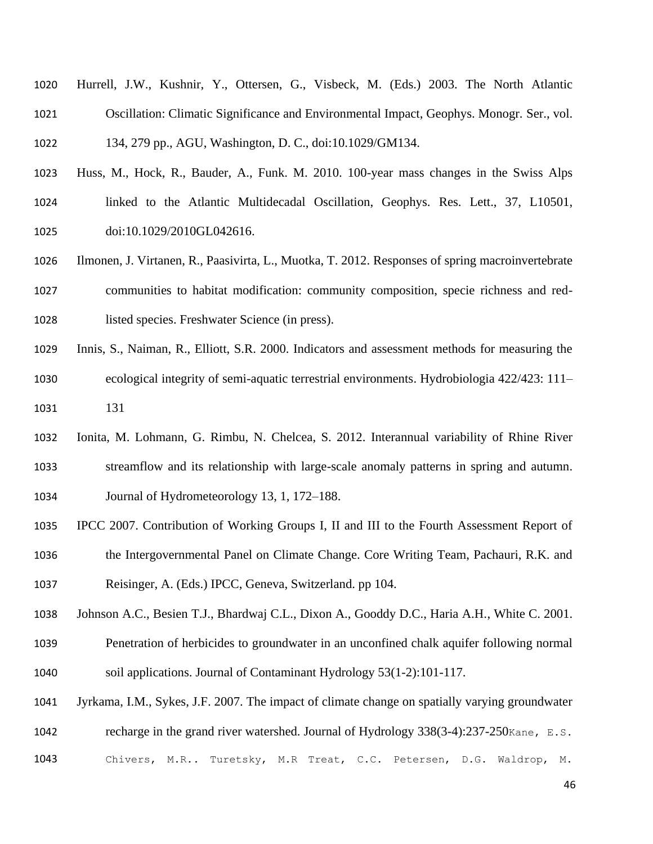- Hurrell, J.W., Kushnir, Y., Ottersen, G., Visbeck, M. (Eds.) 2003. The North Atlantic Oscillation: Climatic Significance and Environmental Impact, Geophys. Monogr. Ser., vol. 134, 279 pp., AGU, Washington, D. C., doi:10.1029/GM134.
- Huss, M., Hock, R., Bauder, A., Funk. M. 2010. 100-year mass changes in the Swiss Alps linked to the Atlantic Multidecadal Oscillation, Geophys. Res. Lett., 37, L10501, doi:10.1029/2010GL042616.
- Ilmonen, J. Virtanen, R., Paasivirta, L., Muotka, T. 2012. Responses of spring macroinvertebrate communities to habitat modification: community composition, specie richness and red-listed species. Freshwater Science (in press).
- Innis, S., Naiman, R., Elliott, S.R. 2000. Indicators and assessment methods for measuring the ecological integrity of semi-aquatic terrestrial environments. Hydrobiologia 422/423: 111– 131
- Ionita, M. Lohmann, G. Rimbu, N. Chelcea, S. 2012. Interannual variability of Rhine River streamflow and its relationship with large-scale anomaly patterns in spring and autumn. Journal of Hydrometeorology 13, 1, 172–188.
- IPCC 2007. Contribution of Working Groups I, II and III to the Fourth Assessment Report of the Intergovernmental Panel on Climate Change. Core Writing Team, Pachauri, R.K. and Reisinger, A. (Eds.) IPCC, Geneva, Switzerland. pp 104.
- Johnson A.C., Besien T.J., Bhardwaj C.L., Dixon A., Gooddy D.C., Haria A.H., White C. 2001.
- Penetration of herbicides to groundwater in an unconfined chalk aquifer following normal soil applications. Journal of Contaminant Hydrology 53(1-2):101-117.
- Jyrkama, I.M., Sykes, J.F. 2007. The impact of climate change on spatially varying groundwater 1042 recharge in the grand river watershed. Journal of Hydrology 338(3-4):237-250Kane, E.S.
- Chivers, M.R.. Turetsky, M.R Treat, C.C. Petersen, D.G. Waldrop, M.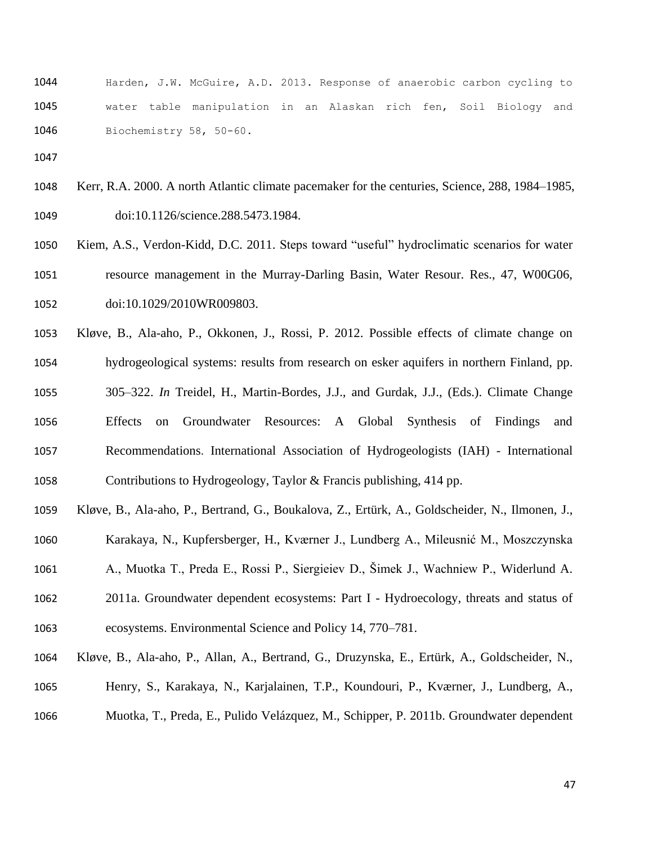Harden, J.W. McGuire, A.D. 2013. Response of anaerobic carbon cycling to water table manipulation in an Alaskan rich fen, Soil Biology and Biochemistry 58, 50-60.

- Kerr, R.A. 2000. A north Atlantic climate pacemaker for the centuries, Science, 288, 1984–1985, doi:10.1126/science.288.5473.1984.
- Kiem, A.S., Verdon-Kidd, D.C. 2011. Steps toward "useful" hydroclimatic scenarios for water resource management in the Murray-Darling Basin, Water Resour. Res., 47, W00G06, doi:10.1029/2010WR009803.
- Kløve, B., Ala-aho, P., Okkonen, J., Rossi, P. 2012. Possible effects of climate change on hydrogeological systems: results from research on esker aquifers in northern Finland, pp. 305–322. *In* Treidel, H., Martin-Bordes, J.J., and Gurdak, J.J., (Eds.). [Climate Change](http://www.amazon.com/Climate-Change-Effects-Groundwater-Resources/dp/0415689368/ref=sr_1_3?s=books&ie=UTF8&qid=1309978084&sr=1-3)  [Effects on Groundwater Resources: A Global Synthesis of Findings and](http://www.amazon.com/Climate-Change-Effects-Groundwater-Resources/dp/0415689368/ref=sr_1_3?s=books&ie=UTF8&qid=1309978084&sr=1-3)  [Recommendations](http://www.amazon.com/Climate-Change-Effects-Groundwater-Resources/dp/0415689368/ref=sr_1_3?s=books&ie=UTF8&qid=1309978084&sr=1-3). International Association of Hydrogeologists (IAH) - International Contributions to Hydrogeology, Taylor & Francis publishing, 414 pp.
- Kløve, B., Ala-aho, P., Bertrand, G., Boukalova, Z., Ertürk, A., Goldscheider, N., Ilmonen, J.,
- Karakaya, N., Kupfersberger, H., Kværner J., Lundberg A., Mileusnić M., Moszczynska
- A., Muotka T., Preda E., Rossi P., Siergieiev D., Šimek J., Wachniew P., Widerlund A.
- 2011a. Groundwater dependent ecosystems: Part I Hydroecology, threats and status of ecosystems. Environmental Science and Policy 14, 770–781.
- Kløve, B., Ala-aho, P., Allan, A., Bertrand, G., Druzynska, E., Ertürk, A., Goldscheider, N., Henry, S., Karakaya, N., Karjalainen, T.P., Koundouri, P., Kværner, J., Lundberg, A.,
- Muotka, T., Preda, E., Pulido Velázquez, M., Schipper, P. 2011b. Groundwater dependent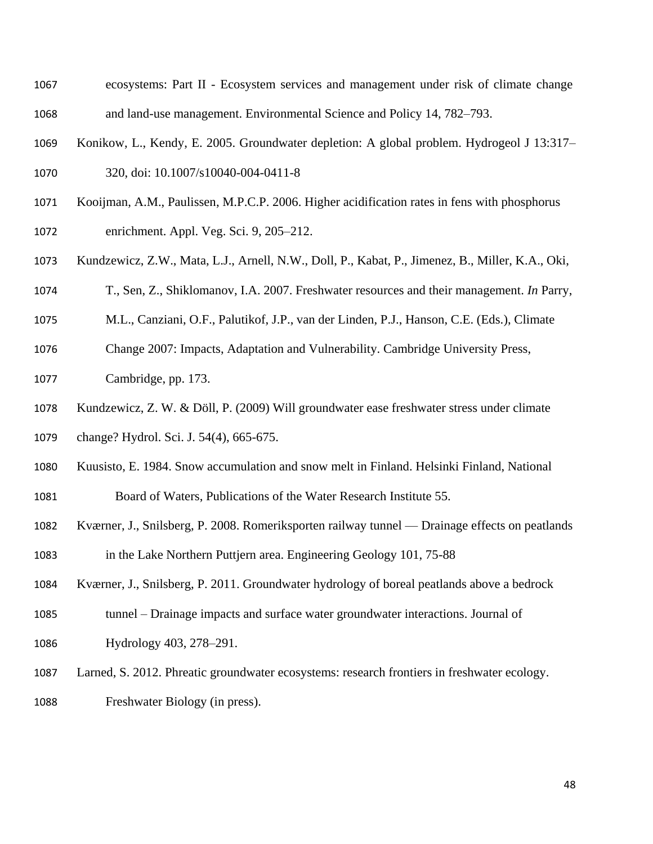- ecosystems: Part II Ecosystem services and management under risk of climate change and land-use management. Environmental Science and Policy 14, 782–793.
- Konikow, L., Kendy, E. 2005. Groundwater depletion: A global problem. Hydrogeol J 13:317– 320, doi: 10.1007/s10040-004-0411-8
- Kooijman, A.M., Paulissen, M.P.C.P. 2006. Higher acidification rates in fens with phosphorus enrichment. Appl. Veg. Sci. 9, 205–212.
- Kundzewicz, Z.W., Mata, L.J., Arnell, N.W., Doll, P., Kabat, P., Jimenez, B., Miller, K.A., Oki,
- T., Sen, Z., Shiklomanov, I.A. 2007. Freshwater resources and their management. *In* Parry,
- M.L., Canziani, O.F., Palutikof, J.P., van der Linden, P.J., Hanson, C.E. (Eds.), Climate
- Change 2007: Impacts, Adaptation and Vulnerability. Cambridge University Press,
- Cambridge, pp. 173.
- Kundzewicz, Z. W. & Döll, P. (2009) Will groundwater ease freshwater stress under climate
- change? Hydrol. Sci. J. 54(4), 665-675.
- Kuusisto, E. 1984. Snow accumulation and snow melt in Finland. Helsinki Finland, National
- Board of Waters, Publications of the Water Research Institute 55.
- Kværner, J., Snilsberg, P. 2008. Romeriksporten railway tunnel Drainage effects on peatlands
- in the Lake Northern Puttjern area. Engineering Geology 101, 75-88
- Kværner, J., Snilsberg, P. 2011. Groundwater hydrology of boreal peatlands above a bedrock
- tunnel Drainage impacts and surface water groundwater interactions. Journal of Hydrology 403, 278–291.
- Larned, S. 2012. Phreatic groundwater ecosystems: research frontiers in freshwater ecology. Freshwater Biology (in press).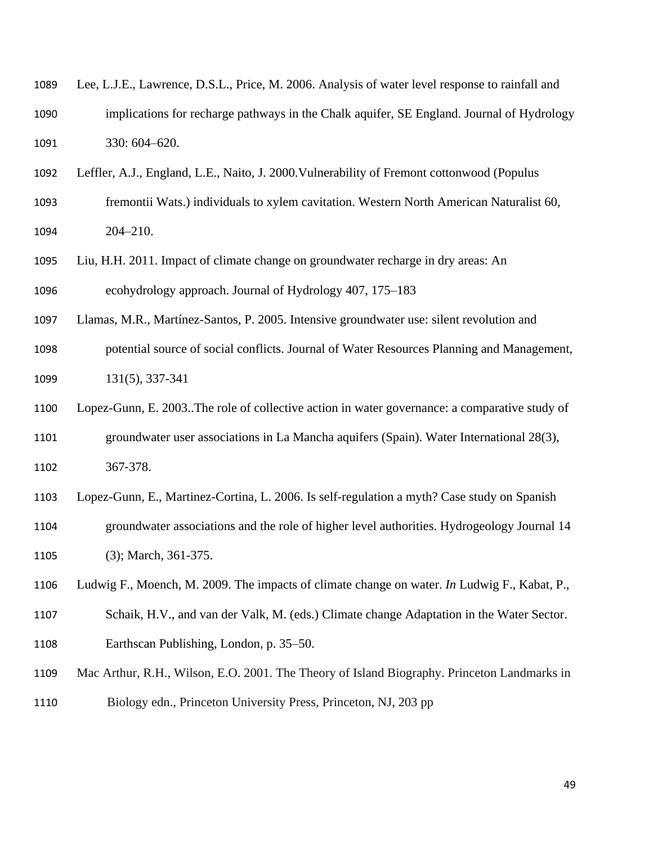| 1089 | Lee, L.J.E., Lawrence, D.S.L., Price, M. 2006. Analysis of water level response to rainfall and |
|------|-------------------------------------------------------------------------------------------------|
| 1090 | implications for recharge pathways in the Chalk aquifer, SE England. Journal of Hydrology       |
| 1091 | $330:604 - 620.$                                                                                |

Leffler, A.J., England, L.E., Naito, J. 2000.Vulnerability of Fremont cottonwood (Populus

- fremontii Wats.) individuals to xylem cavitation. Western North American Naturalist 60, 204–210.
- Liu, H.H. 2011. Impact of climate change on groundwater recharge in dry areas: An ecohydrology approach. Journal of Hydrology 407, 175–183

Llamas, M.R., Martínez-Santos, P. 2005. Intensive groundwater use: silent revolution and

 potential source of social conflicts. Journal of Water Resources Planning and Management, 131(5), 337-341

 Lopez-Gunn, E. 2003..The role of collective action in water governance: a comparative study of groundwater user associations in La Mancha aquifers (Spain). Water International 28(3), 367‐378.

Lopez-Gunn, E., Martinez-Cortina, L. 2006. Is self-regulation a myth? Case study on Spanish

- groundwater associations and the role of higher level authorities. Hydrogeology Journal 14 1105 (3); March, 361-375.
- Ludwig F., Moench, M. 2009. The impacts of climate change on water. *In* Ludwig F., Kabat, P.,
- Schaik, H.V., and van der Valk, M. (eds.) Climate change Adaptation in the Water Sector. Earthscan Publishing, London, p. 35–50.
- Mac Arthur, R.H., Wilson, E.O. 2001. The Theory of Island Biography. Princeton Landmarks in
- Biology edn., Princeton University Press, Princeton, NJ, 203 pp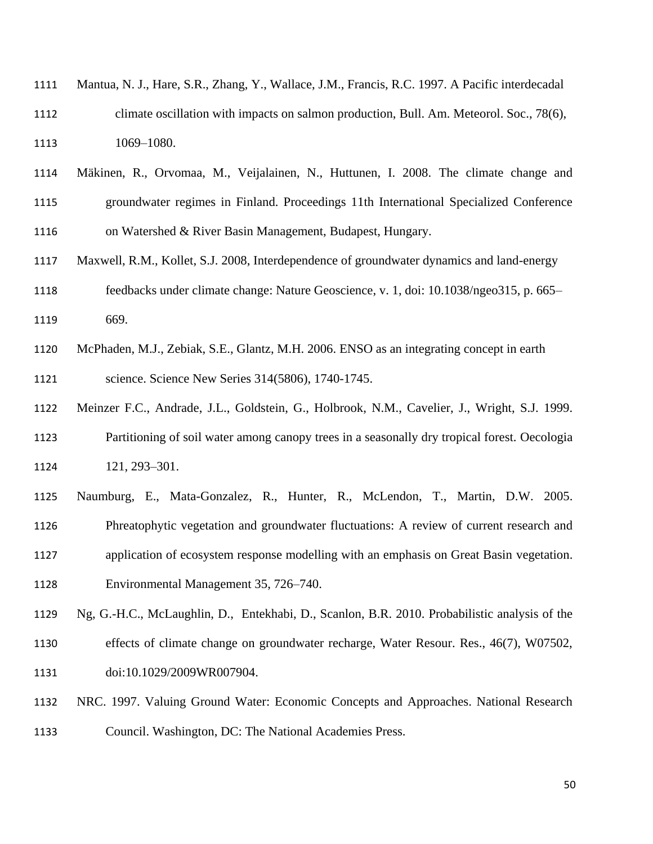- Mantua, N. J., Hare, S.R., Zhang, Y., Wallace, J.M., Francis, R.C. 1997. A Pacific interdecadal climate oscillation with impacts on salmon production, Bull. Am. Meteorol. Soc., 78(6), 1069–1080.
- Mäkinen, R., Orvomaa, M., Veijalainen, N., Huttunen, I. 2008. The climate change and groundwater regimes in Finland. Proceedings 11th International Specialized Conference on Watershed & River Basin Management, Budapest, Hungary.
- Maxwell, R.M., Kollet, S.J. 2008, Interdependence of groundwater dynamics and land-energy feedbacks under climate change: Nature Geoscience, v. 1, doi: 10.1038/ngeo315, p. 665– 669.
- McPhaden, M.J., Zebiak, S.E., Glantz, M.H. 2006. ENSO as an integrating concept in earth science. Science New Series 314(5806), 1740-1745.
- Meinzer F.C., Andrade, J.L., Goldstein, G., Holbrook, N.M., Cavelier, J., Wright, S.J. 1999. Partitioning of soil water among canopy trees in a seasonally dry tropical forest. Oecologia 121, 293–301.
- Naumburg, E., Mata-Gonzalez, R., Hunter, R., McLendon, T., Martin, D.W. 2005.
- Phreatophytic vegetation and groundwater fluctuations: A review of current research and
- application of ecosystem response modelling with an emphasis on Great Basin vegetation.
- Environmental Management 35, 726–740.
- Ng, G.-H.C., McLaughlin, D., Entekhabi, D., Scanlon, B.R. 2010. Probabilistic analysis of the effects of climate change on groundwater recharge, Water Resour. Res., 46(7), W07502,
- doi:10.1029/2009WR007904.
- NRC. 1997. Valuing Ground Water: Economic Concepts and Approaches. National Research Council. Washington, DC: The National Academies Press.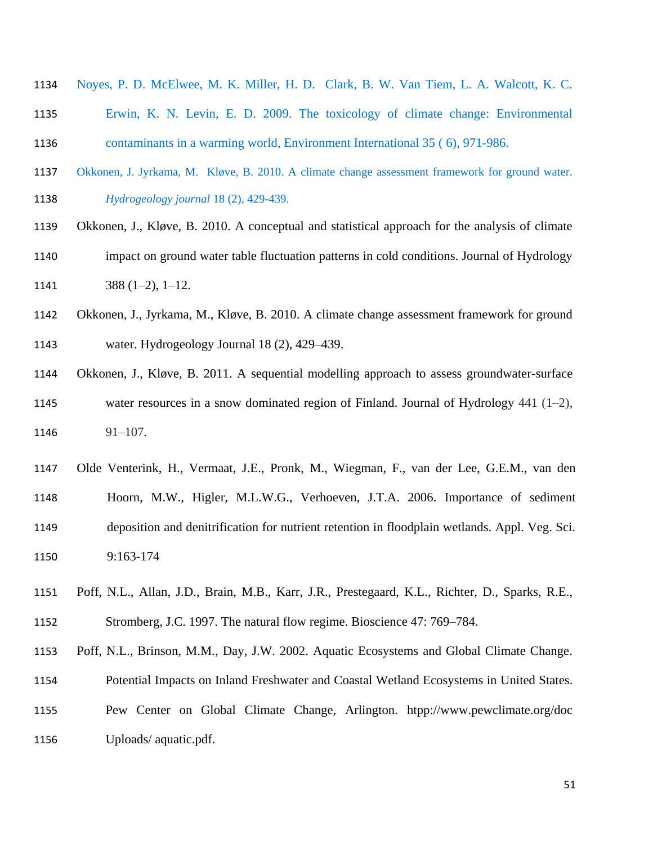- Noyes, P. D. McElwee, M. K. Miller, H. D. Clark, B. W. Van Tiem, L. A. Walcott, K. C.
- Erwin, K. N. Levin, E. D. 2009. The toxicology of climate change: Environmental contaminants in a warming world, Environment International 35 ( 6), 971-986.
- Okkonen, J. Jyrkama, M. Kløve, B. 2010. A climate change assessment framework for ground water. *Hydrogeology journal* 18 (2), 429-439.
- Okkonen, J., Kløve, B. 2010. A conceptual and statistical approach for the analysis of climate
- impact on ground water table fluctuation patterns in cold conditions. Journal of Hydrology 1141  $388 (1-2), 1-12.$
- Okkonen, J., Jyrkama, M., Kløve, B. 2010. A climate change assessment framework for ground water. Hydrogeology Journal 18 (2), 429–439.
- Okkonen, J., Kløve, B. 2011. A sequential modelling approach to assess groundwater-surface water resources in a snow dominated region of Finland. Journal of Hydrology 441 (1–2), 91–107*.*
- Olde Venterink, H., Vermaat, J.E., Pronk, M., Wiegman, F., van der Lee, G.E.M., van den Hoorn, M.W., Higler, M.L.W.G., Verhoeven, J.T.A. 2006. Importance of sediment deposition and denitrification for nutrient retention in floodplain wetlands. Appl. Veg. Sci. 9:163-174
- Poff, N.L., Allan, J.D., Brain, M.B., Karr, J.R., Prestegaard, K.L., Richter, D., Sparks, R.E., Stromberg, J.C. 1997. The natural flow regime. Bioscience 47: 769–784.
- Poff, N.L., Brinson, M.M., Day, J.W. 2002. Aquatic Ecosystems and Global Climate Change.
- Potential Impacts on Inland Freshwater and Coastal Wetland Ecosystems in United States.
- Pew Center on Global Climate Change, Arlington. htpp://www.pewclimate.org/doc
- Uploads/ aquatic.pdf.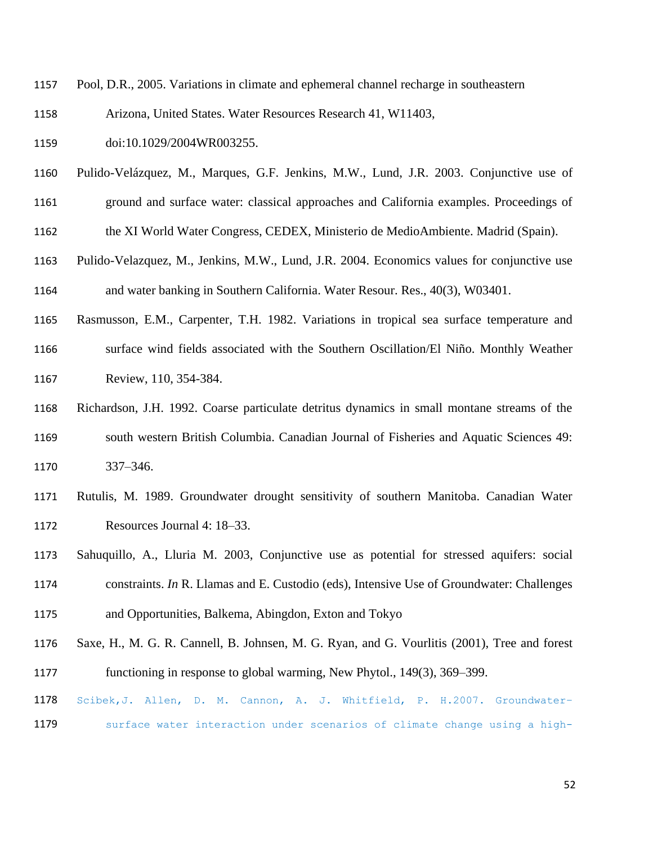- Pool, D.R., 2005. Variations in climate and ephemeral channel recharge in southeastern
- Arizona, United States. Water Resources Research 41, W11403,
- 1159 doi:10.1029/2004WR003255.
- Pulido-Velázquez, M., Marques, G.F. Jenkins, M.W., Lund, J.R. 2003. Conjunctive use of
- ground and surface water: classical approaches and California examples. Proceedings of
- the XI World Water Congress, CEDEX, Ministerio de MedioAmbiente. Madrid (Spain).
- Pulido-Velazquez, M., Jenkins, M.W., Lund, J.R. 2004. Economics values for conjunctive use and water banking in Southern California. Water Resour. Res., 40(3), W03401.
- Rasmusson, E.M., Carpenter, T.H. 1982. Variations in tropical sea surface temperature and surface wind fields associated with the Southern Oscillation/El Niño. Monthly Weather Review, 110, 354-384.
- Richardson, J.H. 1992. Coarse particulate detritus dynamics in small montane streams of the south western British Columbia. Canadian Journal of Fisheries and Aquatic Sciences 49: 337–346.
- Rutulis, M. 1989. Groundwater drought sensitivity of southern Manitoba. Canadian Water Resources Journal 4: 18–33.
- Sahuquillo, A., Lluria M. 2003, Conjunctive use as potential for stressed aquifers: social constraints. *In* R. Llamas and E. Custodio (eds), Intensive Use of Groundwater: Challenges and Opportunities, Balkema, Abingdon, Exton and Tokyo
- Saxe, H., M. G. R. Cannell, B. Johnsen, M. G. Ryan, and G. Vourlitis (2001), Tree and forest functioning in response to global warming, New Phytol., 149(3), 369–399.
- Scibek,J. Allen, D. M. Cannon, A. J. Whitfield, P. H.2007. Groundwater–
- 1179 surface water interaction under scenarios of climate change using a high-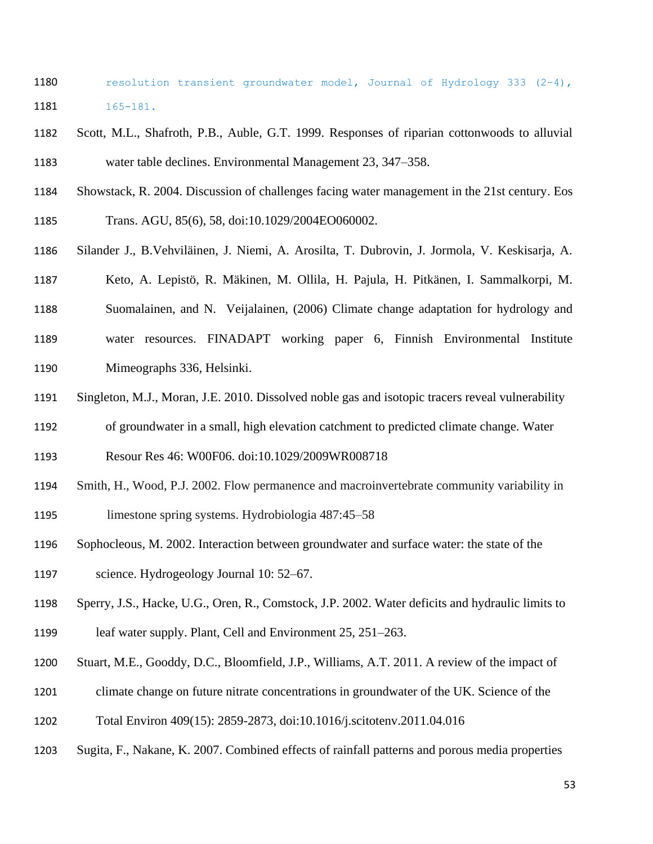- 1180 resolution transient groundwater model, Journal of Hydrology 333 (2-4), 165-181.
- Scott, M.L., Shafroth, P.B., Auble, G.T. 1999. Responses of riparian cottonwoods to alluvial water table declines. Environmental Management 23, 347–358.
- Showstack, R. 2004. Discussion of challenges facing water management in the 21st century. Eos
- Trans. AGU, 85(6), 58, doi:10.1029/2004EO060002.
- Silander J., B.Vehviläinen, J. Niemi, A. Arosilta, T. Dubrovin, J. Jormola, V. Keskisarja, A.
- Keto, A. Lepistö, R. Mäkinen, M. Ollila, H. Pajula, H. Pitkänen, I. Sammalkorpi, M.
- Suomalainen, and N. Veijalainen, (2006) Climate change adaptation for hydrology and
- water resources. FINADAPT working paper 6, Finnish Environmental Institute Mimeographs 336, Helsinki.
- Singleton, M.J., Moran, J.E. 2010. Dissolved noble gas and isotopic tracers reveal vulnerability
- of groundwater in a small, high elevation catchment to predicted climate change. Water
- Resour Res 46: W00F06. doi:10.1029/2009WR008718
- Smith, H., Wood, P.J. 2002. Flow permanence and macroinvertebrate community variability in limestone spring systems. Hydrobiologia 487:45–58
- Sophocleous, M. 2002. Interaction between groundwater and surface water: the state of the science. Hydrogeology Journal 10: 52–67.
- Sperry, J.S., Hacke, U.G., Oren, R., Comstock, J.P. 2002. Water deficits and hydraulic limits to
- leaf water supply. Plant, Cell and Environment 25, 251–263.
- Stuart, M.E., Gooddy, D.C., Bloomfield, J.P., Williams, A.T. 2011. A review of the impact of
- climate change on future nitrate concentrations in groundwater of the UK. Science of the
- Total Environ 409(15): 2859-2873, doi:10.1016/j.scitotenv.2011.04.016
- Sugita, F., Nakane, K. 2007. Combined effects of rainfall patterns and porous media properties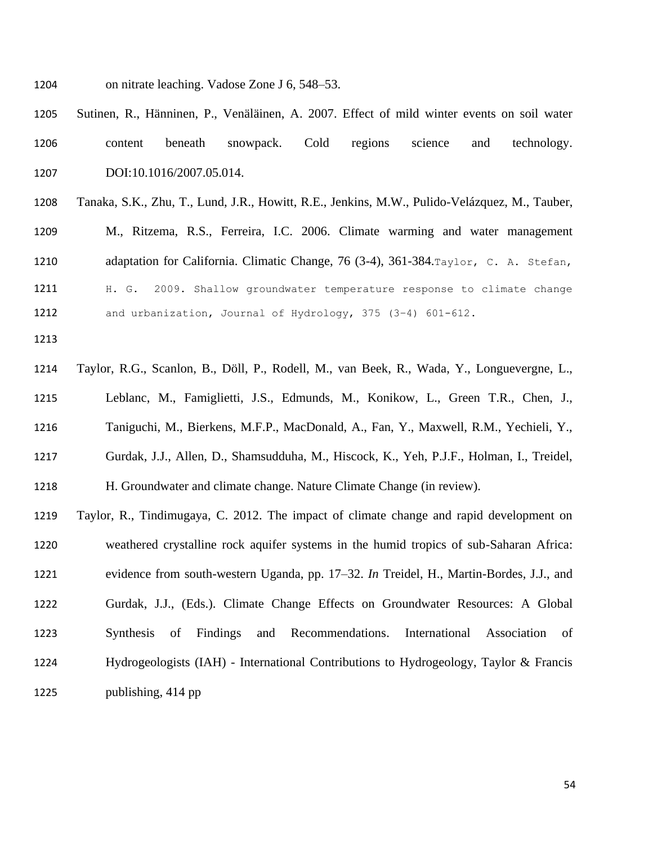- on nitrate leaching. Vadose Zone J 6, 548–53.
- Sutinen, R., Hänninen, P., Venäläinen, A. 2007. Effect of mild winter events on soil water content beneath snowpack. Cold regions science and technology. 1207 DOI:10.1016/2007.05.014.
- Tanaka, S.K., Zhu, T., Lund, J.R., Howitt, R.E., Jenkins, M.W., Pulido-Velázquez, M., Tauber, M., Ritzema, R.S., Ferreira, I.C. 2006. Climate warming and water management adaptation for California. Climatic Change, 76 (3-4), 361-384.Taylor, C. A. Stefan, H. G. 2009. Shallow groundwater temperature response to climate change and urbanization, Journal of Hydrology, 375 (3–4) 601-612.
- 
- Taylor, R.G., Scanlon, B., Döll, P., Rodell, M., van Beek, R., Wada, Y., Longuevergne, L., Leblanc, M., Famiglietti, J.S., Edmunds, M., Konikow, L., Green T.R., Chen, J., Taniguchi, M., Bierkens, M.F.P., MacDonald, A., Fan, Y., Maxwell, R.M., Yechieli, Y., Gurdak, J.J., Allen, D., Shamsudduha, M., Hiscock, K., Yeh, P.J.F., Holman, I., Treidel, H. Groundwater and climate change. Nature Climate Change (in review). Taylor, R., Tindimugaya, C. 2012. The impact of climate change and rapid development on
- weathered crystalline rock aquifer systems in the humid tropics of sub-Saharan Africa: evidence from south-western Uganda, pp. 17–32. *In* Treidel, H., Martin-Bordes, J.J., and Gurdak, J.J., (Eds.). [Climate Change Effects on Groundwater Resources: A Global](http://www.amazon.com/Climate-Change-Effects-Groundwater-Resources/dp/0415689368/ref=sr_1_3?s=books&ie=UTF8&qid=1309978084&sr=1-3)  [Synthesis of Findings and Recommendations.](http://www.amazon.com/Climate-Change-Effects-Groundwater-Resources/dp/0415689368/ref=sr_1_3?s=books&ie=UTF8&qid=1309978084&sr=1-3) International Association of Hydrogeologists (IAH) - International Contributions to Hydrogeology, Taylor & Francis publishing, 414 pp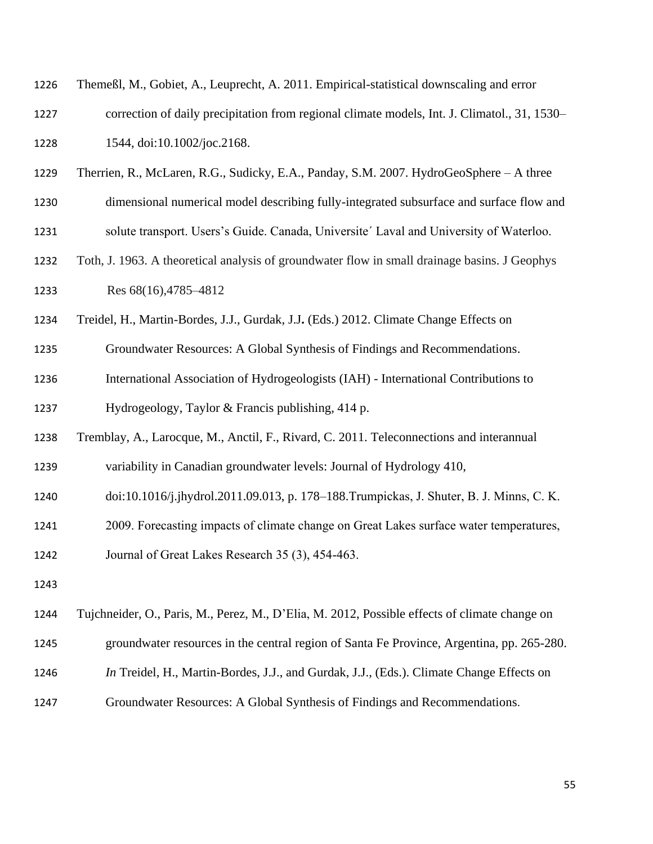| 1226 | Themeßl, M., Gobiet, A., Leuprecht, A. 2011. Empirical-statistical downscaling and error      |
|------|-----------------------------------------------------------------------------------------------|
| 1227 | correction of daily precipitation from regional climate models, Int. J. Climatol., 31, 1530–  |
| 1228 | 1544, doi:10.1002/joc.2168.                                                                   |
| 1229 | Therrien, R., McLaren, R.G., Sudicky, E.A., Panday, S.M. 2007. HydroGeoSphere - A three       |
| 1230 | dimensional numerical model describing fully-integrated subsurface and surface flow and       |
| 1231 | solute transport. Users's Guide. Canada, Universite' Laval and University of Waterloo.        |
| 1232 | Toth, J. 1963. A theoretical analysis of groundwater flow in small drainage basins. J Geophys |
| 1233 | Res 68(16), 4785-4812                                                                         |
| 1234 | Treidel, H., Martin-Bordes, J.J., Gurdak, J.J. (Eds.) 2012. Climate Change Effects on         |
| 1235 | Groundwater Resources: A Global Synthesis of Findings and Recommendations.                    |
| 1236 | International Association of Hydrogeologists (IAH) - International Contributions to           |
| 1237 | Hydrogeology, Taylor & Francis publishing, 414 p.                                             |
| 1238 | Tremblay, A., Larocque, M., Anctil, F., Rivard, C. 2011. Teleconnections and interannual      |
| 1239 | variability in Canadian groundwater levels: Journal of Hydrology 410,                         |
| 1240 | doi:10.1016/j.jhydrol.2011.09.013, p. 178-188. Trumpickas, J. Shuter, B. J. Minns, C. K.      |
| 1241 | 2009. Forecasting impacts of climate change on Great Lakes surface water temperatures,        |
| 1242 | Journal of Great Lakes Research 35 (3), 454-463.                                              |
| 1243 |                                                                                               |
| 1244 | Tujchneider, O., Paris, M., Perez, M., D'Elia, M. 2012, Possible effects of climate change on |
| 1245 | groundwater resources in the central region of Santa Fe Province, Argentina, pp. 265-280.     |

- *In* Treidel, H., Martin-Bordes, J.J., and Gurdak, J.J., (Eds.). [Climate Change Effects on](http://www.amazon.com/Climate-Change-Effects-Groundwater-Resources/dp/0415689368/ref=sr_1_3?s=books&ie=UTF8&qid=1309978084&sr=1-3)
- [Groundwater Resources: A Global Synthesis of Findings and Recommendations](http://www.amazon.com/Climate-Change-Effects-Groundwater-Resources/dp/0415689368/ref=sr_1_3?s=books&ie=UTF8&qid=1309978084&sr=1-3).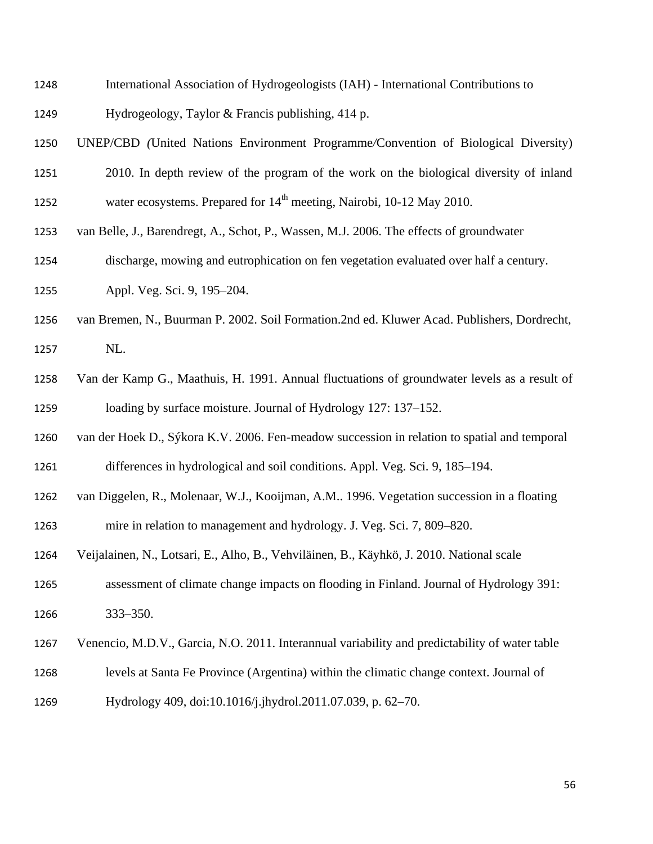- International Association of Hydrogeologists (IAH) International Contributions to
- Hydrogeology, Taylor & Francis publishing, 414 p.
- UNEP/CBD *(*United Nations Environment Programme*/*Convention of Biological Diversity)
- 2010. In depth review of the program of the work on the biological diversity of inland 1252 water ecosystems. Prepared for  $14<sup>th</sup>$  meeting, Nairobi, 10-12 May 2010.
- van Belle, J., Barendregt, A., Schot, P., Wassen, M.J. 2006. The effects of groundwater
- discharge, mowing and eutrophication on fen vegetation evaluated over half a century.
- Appl. Veg. Sci. 9, 195–204.
- van Bremen, N., Buurman P. 2002. Soil Formation.2nd ed. Kluwer Acad. Publishers, Dordrecht, NL.
- Van der Kamp G., Maathuis, H. 1991. Annual fluctuations of groundwater levels as a result of loading by surface moisture. Journal of Hydrology 127: 137–152.
- van der Hoek D., Sýkora K.V. 2006. Fen-meadow succession in relation to spatial and temporal differences in hydrological and soil conditions. Appl. Veg. Sci. 9, 185–194.
- van Diggelen, R., Molenaar, W.J., Kooijman, A.M.. 1996. Vegetation succession in a floating
- mire in relation to management and hydrology. J. Veg. Sci. 7, 809–820.
- Veijalainen, N., Lotsari, E., Alho, B., Vehviläinen, B., Käyhkö, J. 2010. National scale
- assessment of climate change impacts on flooding in Finland. Journal of Hydrology 391: 333–350.
- Venencio, M.D.V., Garcia, N.O. 2011. Interannual variability and predictability of water table
- levels at Santa Fe Province (Argentina) within the climatic change context. Journal of
- Hydrology 409, doi:10.1016/j.jhydrol.2011.07.039, p. 62–70.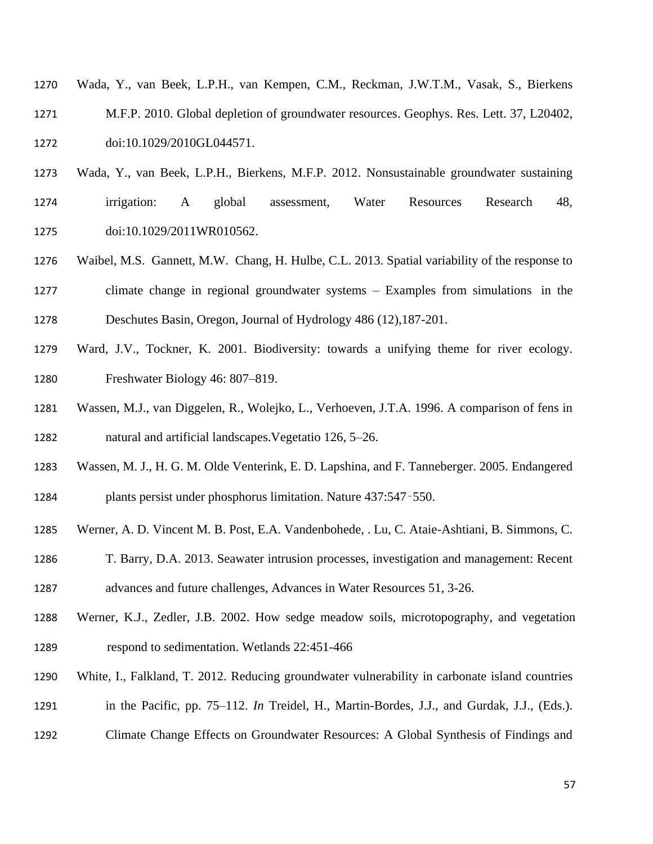- Wada, Y., van Beek, L.P.H., van Kempen, C.M., Reckman, J.W.T.M., Vasak, S., Bierkens M.F.P. 2010. Global depletion of groundwater resources. Geophys. Res. Lett. 37, L20402, doi:10.1029/2010GL044571.
- Wada, Y., van Beek, L.P.H., Bierkens, M.F.P. 2012. Nonsustainable groundwater sustaining
- irrigation: A global assessment, Water Resources Research 48, doi:10.1029/2011WR010562.
- Waibel, M.S. Gannett, M.W. Chang, H. Hulbe, C.L. 2013. Spatial variability of the response to climate change in regional groundwater systems – Examples from simulations in the Deschutes Basin, Oregon, Journal of Hydrology 486 (12),187-201.
- Ward, J.V., Tockner, K. 2001. Biodiversity: towards a unifying theme for river ecology. Freshwater Biology 46: 807–819.
- Wassen, M.J., van Diggelen, R., Wolejko, L., Verhoeven, J.T.A. 1996. A comparison of fens in natural and artificial landscapes.Vegetatio 126, 5–26.
- Wassen, M. J., H. G. M. Olde Venterink, E. D. Lapshina, and F. Tanneberger. 2005. Endangered plants persist under phosphorus limitation. Nature 437:547–550.
- Werner, A. D. Vincent M. B. Post, E.A. Vandenbohede, . Lu, C. Ataie-Ashtiani, B. Simmons, C.
- T. Barry, D.A. 2013. Seawater intrusion processes, investigation and management: Recent advances and future challenges, Advances in Water Resources 51, 3-26.
- Werner, K.J., Zedler, J.B. 2002. How sedge meadow soils, microtopography, and vegetation respond to sedimentation. Wetlands 22:451-466
- White, I., Falkland, T. 2012. Reducing groundwater vulnerability in carbonate island countries
- in the Pacific, pp. 75–112. *In* Treidel, H., Martin-Bordes, J.J., and Gurdak, J.J., (Eds.).
- [Climate Change Effects on Groundwater Resources: A Global Synthesis of Findings and](http://www.amazon.com/Climate-Change-Effects-Groundwater-Resources/dp/0415689368/ref=sr_1_3?s=books&ie=UTF8&qid=1309978084&sr=1-3)